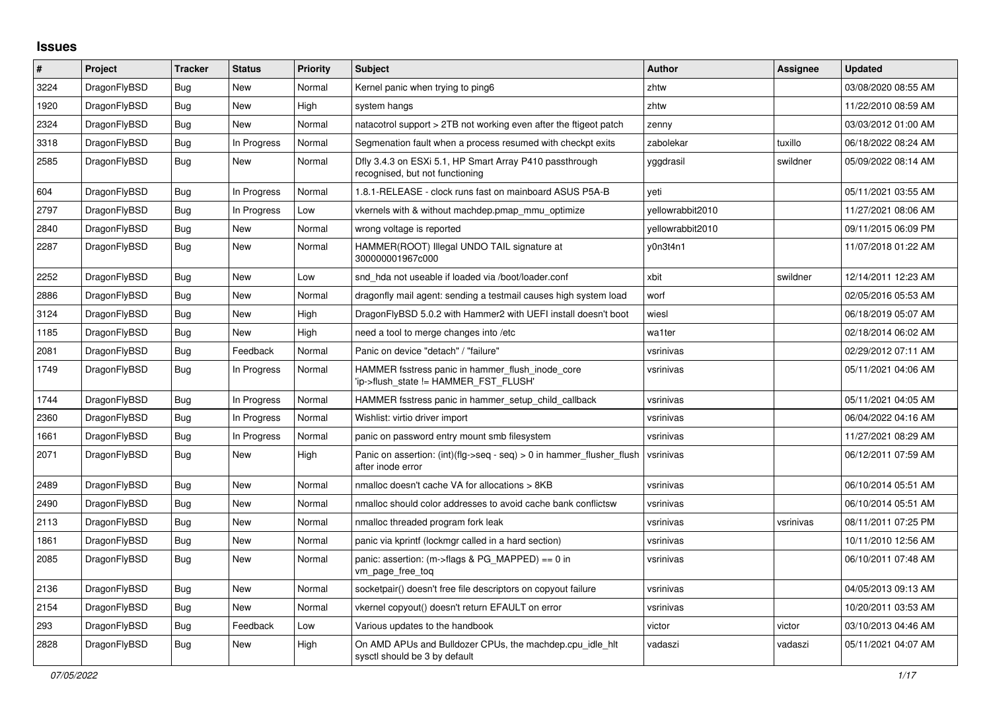## **Issues**

| $\#$ | Project      | <b>Tracker</b> | <b>Status</b> | Priority | <b>Subject</b>                                                                             | <b>Author</b>    | Assignee  | <b>Updated</b>      |
|------|--------------|----------------|---------------|----------|--------------------------------------------------------------------------------------------|------------------|-----------|---------------------|
| 3224 | DragonFlyBSD | <b>Bug</b>     | <b>New</b>    | Normal   | Kernel panic when trying to ping6                                                          | zhtw             |           | 03/08/2020 08:55 AM |
| 1920 | DragonFlyBSD | Bug            | New           | High     | system hangs                                                                               | zhtw             |           | 11/22/2010 08:59 AM |
| 2324 | DragonFlyBSD | Bug            | New           | Normal   | natacotrol support > 2TB not working even after the ftigeot patch                          | zenny            |           | 03/03/2012 01:00 AM |
| 3318 | DragonFlyBSD | Bug            | In Progress   | Normal   | Segmenation fault when a process resumed with checkpt exits                                | zabolekar        | tuxillo   | 06/18/2022 08:24 AM |
| 2585 | DragonFlyBSD | Bug            | <b>New</b>    | Normal   | Dfly 3.4.3 on ESXi 5.1, HP Smart Array P410 passthrough<br>recognised, but not functioning | yggdrasil        | swildner  | 05/09/2022 08:14 AM |
| 604  | DragonFlyBSD | Bug            | In Progress   | Normal   | 1.8.1-RELEASE - clock runs fast on mainboard ASUS P5A-B                                    | yeti             |           | 05/11/2021 03:55 AM |
| 2797 | DragonFlyBSD | Bug            | In Progress   | Low      | vkernels with & without machdep.pmap_mmu_optimize                                          | yellowrabbit2010 |           | 11/27/2021 08:06 AM |
| 2840 | DragonFlyBSD | Bug            | New           | Normal   | wrong voltage is reported                                                                  | yellowrabbit2010 |           | 09/11/2015 06:09 PM |
| 2287 | DragonFlyBSD | Bug            | New           | Normal   | HAMMER(ROOT) Illegal UNDO TAIL signature at<br>300000001967c000                            | y0n3t4n1         |           | 11/07/2018 01:22 AM |
| 2252 | DragonFlyBSD | Bug            | New           | Low      | snd hda not useable if loaded via /boot/loader.conf                                        | xbit             | swildner  | 12/14/2011 12:23 AM |
| 2886 | DragonFlyBSD | Bug            | New           | Normal   | dragonfly mail agent: sending a testmail causes high system load                           | worf             |           | 02/05/2016 05:53 AM |
| 3124 | DragonFlyBSD | Bug            | New           | High     | DragonFlyBSD 5.0.2 with Hammer2 with UEFI install doesn't boot                             | wiesl            |           | 06/18/2019 05:07 AM |
| 1185 | DragonFlyBSD | Bug            | <b>New</b>    | High     | need a tool to merge changes into /etc                                                     | wa1ter           |           | 02/18/2014 06:02 AM |
| 2081 | DragonFlyBSD | Bug            | Feedback      | Normal   | Panic on device "detach" / "failure"                                                       | vsrinivas        |           | 02/29/2012 07:11 AM |
| 1749 | DragonFlyBSD | <b>Bug</b>     | In Progress   | Normal   | HAMMER fsstress panic in hammer_flush_inode_core<br>'ip->flush_state != HAMMER_FST_FLUSH'  | vsrinivas        |           | 05/11/2021 04:06 AM |
| 1744 | DragonFlyBSD | Bug            | In Progress   | Normal   | HAMMER fsstress panic in hammer setup child callback                                       | vsrinivas        |           | 05/11/2021 04:05 AM |
| 2360 | DragonFlyBSD | Bug            | In Progress   | Normal   | Wishlist: virtio driver import                                                             | vsrinivas        |           | 06/04/2022 04:16 AM |
| 1661 | DragonFlyBSD | Bug            | In Progress   | Normal   | panic on password entry mount smb filesystem                                               | vsrinivas        |           | 11/27/2021 08:29 AM |
| 2071 | DragonFlyBSD | <b>Bug</b>     | <b>New</b>    | High     | Panic on assertion: (int)(flg->seq - seq) > 0 in hammer_flusher_flush<br>after inode error | vsrinivas        |           | 06/12/2011 07:59 AM |
| 2489 | DragonFlyBSD | Bug            | New           | Normal   | nmalloc doesn't cache VA for allocations > 8KB                                             | vsrinivas        |           | 06/10/2014 05:51 AM |
| 2490 | DragonFlyBSD | Bug            | <b>New</b>    | Normal   | nmalloc should color addresses to avoid cache bank conflictsw                              | vsrinivas        |           | 06/10/2014 05:51 AM |
| 2113 | DragonFlyBSD | Bug            | New           | Normal   | nmalloc threaded program fork leak                                                         | vsrinivas        | vsrinivas | 08/11/2011 07:25 PM |
| 1861 | DragonFlyBSD | Bug            | New           | Normal   | panic via kprintf (lockmgr called in a hard section)                                       | vsrinivas        |           | 10/11/2010 12:56 AM |
| 2085 | DragonFlyBSD | <b>Bug</b>     | New           | Normal   | panic: assertion: (m->flags & PG_MAPPED) == 0 in<br>vm_page_free_toq                       | vsrinivas        |           | 06/10/2011 07:48 AM |
| 2136 | DragonFlyBSD | Bug            | New           | Normal   | socketpair() doesn't free file descriptors on copyout failure                              | vsrinivas        |           | 04/05/2013 09:13 AM |
| 2154 | DragonFlyBSD | Bug            | New           | Normal   | vkernel copyout() doesn't return EFAULT on error                                           | vsrinivas        |           | 10/20/2011 03:53 AM |
| 293  | DragonFlyBSD | Bug            | Feedback      | Low      | Various updates to the handbook                                                            | victor           | victor    | 03/10/2013 04:46 AM |
| 2828 | DragonFlyBSD | <b>Bug</b>     | <b>New</b>    | High     | On AMD APUs and Bulldozer CPUs, the machdep.cpu idle hit<br>sysctl should be 3 by default  | vadaszi          | vadaszi   | 05/11/2021 04:07 AM |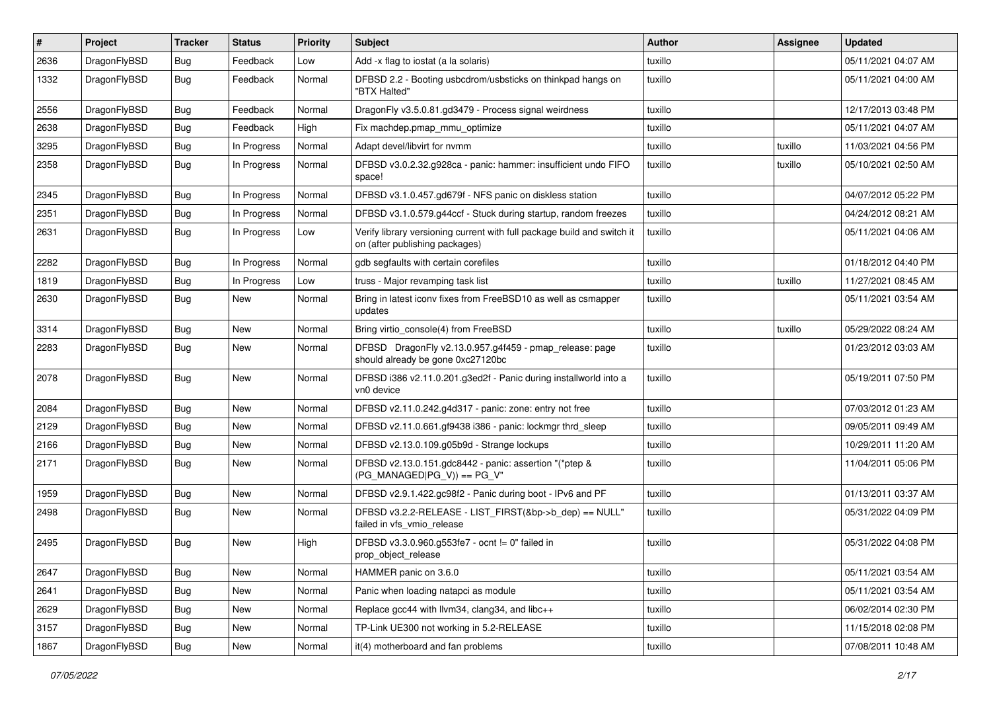| $\vert$ # | Project      | <b>Tracker</b> | <b>Status</b> | <b>Priority</b> | Subject                                                                                                   | Author  | <b>Assignee</b> | <b>Updated</b>      |
|-----------|--------------|----------------|---------------|-----------------|-----------------------------------------------------------------------------------------------------------|---------|-----------------|---------------------|
| 2636      | DragonFlyBSD | Bug            | Feedback      | Low             | Add -x flag to iostat (a la solaris)                                                                      | tuxillo |                 | 05/11/2021 04:07 AM |
| 1332      | DragonFlyBSD | Bug            | Feedback      | Normal          | DFBSD 2.2 - Booting usbcdrom/usbsticks on thinkpad hangs on<br>"BTX Halted"                               | tuxillo |                 | 05/11/2021 04:00 AM |
| 2556      | DragonFlyBSD | Bug            | Feedback      | Normal          | DragonFly v3.5.0.81.gd3479 - Process signal weirdness                                                     | tuxillo |                 | 12/17/2013 03:48 PM |
| 2638      | DragonFlyBSD | Bug            | Feedback      | High            | Fix machdep.pmap_mmu_optimize                                                                             | tuxillo |                 | 05/11/2021 04:07 AM |
| 3295      | DragonFlyBSD | <b>Bug</b>     | In Progress   | Normal          | Adapt devel/libvirt for nvmm                                                                              | tuxillo | tuxillo         | 11/03/2021 04:56 PM |
| 2358      | DragonFlyBSD | Bug            | In Progress   | Normal          | DFBSD v3.0.2.32.g928ca - panic: hammer: insufficient undo FIFO<br>space!                                  | tuxillo | tuxillo         | 05/10/2021 02:50 AM |
| 2345      | DragonFlyBSD | Bug            | In Progress   | Normal          | DFBSD v3.1.0.457.gd679f - NFS panic on diskless station                                                   | tuxillo |                 | 04/07/2012 05:22 PM |
| 2351      | DragonFlyBSD | Bug            | In Progress   | Normal          | DFBSD v3.1.0.579.g44ccf - Stuck during startup, random freezes                                            | tuxillo |                 | 04/24/2012 08:21 AM |
| 2631      | DragonFlyBSD | Bug            | In Progress   | Low             | Verify library versioning current with full package build and switch it<br>on (after publishing packages) | tuxillo |                 | 05/11/2021 04:06 AM |
| 2282      | DragonFlyBSD | <b>Bug</b>     | In Progress   | Normal          | gdb segfaults with certain corefiles                                                                      | tuxillo |                 | 01/18/2012 04:40 PM |
| 1819      | DragonFlyBSD | <b>Bug</b>     | In Progress   | Low             | truss - Major revamping task list                                                                         | tuxillo | tuxillo         | 11/27/2021 08:45 AM |
| 2630      | DragonFlyBSD | Bug            | New           | Normal          | Bring in latest iconv fixes from FreeBSD10 as well as csmapper<br>updates                                 | tuxillo |                 | 05/11/2021 03:54 AM |
| 3314      | DragonFlyBSD | Bug            | New           | Normal          | Bring virtio console(4) from FreeBSD                                                                      | tuxillo | tuxillo         | 05/29/2022 08:24 AM |
| 2283      | DragonFlyBSD | Bug            | New           | Normal          | DFBSD DragonFly v2.13.0.957.g4f459 - pmap_release: page<br>should already be gone 0xc27120bc              | tuxillo |                 | 01/23/2012 03:03 AM |
| 2078      | DragonFlyBSD | Bug            | New           | Normal          | DFBSD i386 v2.11.0.201.g3ed2f - Panic during installworld into a<br>vn0 device                            | tuxillo |                 | 05/19/2011 07:50 PM |
| 2084      | DragonFlyBSD | Bug            | <b>New</b>    | Normal          | DFBSD v2.11.0.242.g4d317 - panic: zone: entry not free                                                    | tuxillo |                 | 07/03/2012 01:23 AM |
| 2129      | DragonFlyBSD | Bug            | <b>New</b>    | Normal          | DFBSD v2.11.0.661.gf9438 i386 - panic: lockmgr thrd_sleep                                                 | tuxillo |                 | 09/05/2011 09:49 AM |
| 2166      | DragonFlyBSD | Bug            | New           | Normal          | DFBSD v2.13.0.109.g05b9d - Strange lockups                                                                | tuxillo |                 | 10/29/2011 11:20 AM |
| 2171      | DragonFlyBSD | Bug            | New           | Normal          | DFBSD v2.13.0.151.gdc8442 - panic: assertion "(*ptep &<br>$(PG_MANAGED PG_V)$ == PG_V"                    | tuxillo |                 | 11/04/2011 05:06 PM |
| 1959      | DragonFlyBSD | Bug            | New           | Normal          | DFBSD v2.9.1.422.gc98f2 - Panic during boot - IPv6 and PF                                                 | tuxillo |                 | 01/13/2011 03:37 AM |
| 2498      | DragonFlyBSD | Bug            | New           | Normal          | DFBSD v3.2.2-RELEASE - LIST_FIRST(&bp->b_dep) == NULL"<br>failed in vfs_vmio_release                      | tuxillo |                 | 05/31/2022 04:09 PM |
| 2495      | DragonFlyBSD | Bug            | <b>New</b>    | High            | DFBSD v3.3.0.960.g553fe7 - ocnt != 0" failed in<br>prop_object_release                                    | tuxillo |                 | 05/31/2022 04:08 PM |
| 2647      | DragonFlyBSD | Bug            | New           | Normal          | HAMMER panic on 3.6.0                                                                                     | tuxillo |                 | 05/11/2021 03:54 AM |
| 2641      | DragonFlyBSD | Bug            | New           | Normal          | Panic when loading natapci as module                                                                      | tuxillo |                 | 05/11/2021 03:54 AM |
| 2629      | DragonFlyBSD | <b>Bug</b>     | New           | Normal          | Replace gcc44 with llvm34, clang34, and libc++                                                            | tuxillo |                 | 06/02/2014 02:30 PM |
| 3157      | DragonFlyBSD | <b>Bug</b>     | New           | Normal          | TP-Link UE300 not working in 5.2-RELEASE                                                                  | tuxillo |                 | 11/15/2018 02:08 PM |
| 1867      | DragonFlyBSD | Bug            | New           | Normal          | it(4) motherboard and fan problems                                                                        | tuxillo |                 | 07/08/2011 10:48 AM |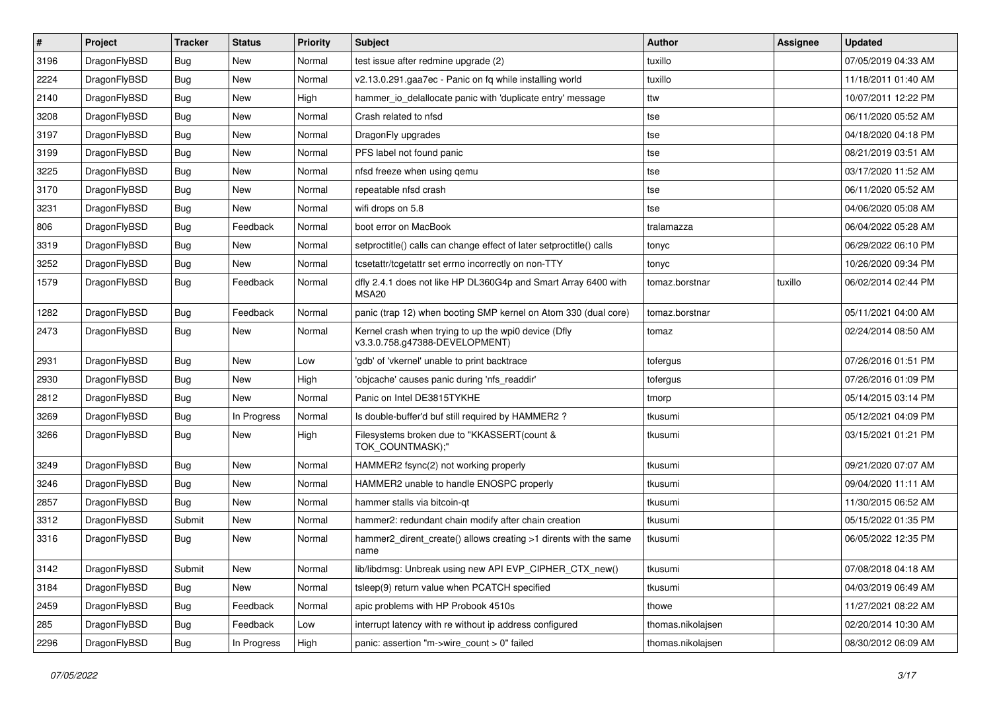| $\sharp$ | Project      | <b>Tracker</b> | <b>Status</b> | <b>Priority</b> | Subject                                                                                | <b>Author</b>     | Assignee | <b>Updated</b>      |
|----------|--------------|----------------|---------------|-----------------|----------------------------------------------------------------------------------------|-------------------|----------|---------------------|
| 3196     | DragonFlyBSD | Bug            | New           | Normal          | test issue after redmine upgrade (2)                                                   | tuxillo           |          | 07/05/2019 04:33 AM |
| 2224     | DragonFlyBSD | Bug            | New           | Normal          | v2.13.0.291.gaa7ec - Panic on fq while installing world                                | tuxillo           |          | 11/18/2011 01:40 AM |
| 2140     | DragonFlyBSD | Bug            | New           | High            | hammer io delallocate panic with 'duplicate entry' message                             | ttw               |          | 10/07/2011 12:22 PM |
| 3208     | DragonFlyBSD | Bug            | New           | Normal          | Crash related to nfsd                                                                  | tse               |          | 06/11/2020 05:52 AM |
| 3197     | DragonFlyBSD | Bug            | <b>New</b>    | Normal          | DragonFly upgrades                                                                     | tse               |          | 04/18/2020 04:18 PM |
| 3199     | DragonFlyBSD | Bug            | <b>New</b>    | Normal          | PFS label not found panic                                                              | tse               |          | 08/21/2019 03:51 AM |
| 3225     | DragonFlyBSD | <b>Bug</b>     | New           | Normal          | nfsd freeze when using qemu                                                            | tse               |          | 03/17/2020 11:52 AM |
| 3170     | DragonFlyBSD | <b>Bug</b>     | New           | Normal          | repeatable nfsd crash                                                                  | tse               |          | 06/11/2020 05:52 AM |
| 3231     | DragonFlyBSD | <b>Bug</b>     | New           | Normal          | wifi drops on 5.8                                                                      | tse               |          | 04/06/2020 05:08 AM |
| 806      | DragonFlyBSD | Bug            | Feedback      | Normal          | boot error on MacBook                                                                  | tralamazza        |          | 06/04/2022 05:28 AM |
| 3319     | DragonFlyBSD | <b>Bug</b>     | New           | Normal          | setproctitle() calls can change effect of later setproctitle() calls                   | tonyc             |          | 06/29/2022 06:10 PM |
| 3252     | DragonFlyBSD | <b>Bug</b>     | New           | Normal          | tcsetattr/tcgetattr set errno incorrectly on non-TTY                                   | tonyc             |          | 10/26/2020 09:34 PM |
| 1579     | DragonFlyBSD | <b>Bug</b>     | Feedback      | Normal          | dfly 2.4.1 does not like HP DL360G4p and Smart Array 6400 with<br>MSA <sub>20</sub>    | tomaz.borstnar    | tuxillo  | 06/02/2014 02:44 PM |
| 1282     | DragonFlyBSD | Bug            | Feedback      | Normal          | panic (trap 12) when booting SMP kernel on Atom 330 (dual core)                        | tomaz.borstnar    |          | 05/11/2021 04:00 AM |
| 2473     | DragonFlyBSD | <b>Bug</b>     | <b>New</b>    | Normal          | Kernel crash when trying to up the wpi0 device (Dfly<br>v3.3.0.758.g47388-DEVELOPMENT) | tomaz             |          | 02/24/2014 08:50 AM |
| 2931     | DragonFlyBSD | Bug            | <b>New</b>    | Low             | 'gdb' of 'vkernel' unable to print backtrace                                           | tofergus          |          | 07/26/2016 01:51 PM |
| 2930     | DragonFlyBSD | <b>Bug</b>     | New           | High            | 'objcache' causes panic during 'nfs readdir'                                           | tofergus          |          | 07/26/2016 01:09 PM |
| 2812     | DragonFlyBSD | <b>Bug</b>     | New           | Normal          | Panic on Intel DE3815TYKHE                                                             | tmorp             |          | 05/14/2015 03:14 PM |
| 3269     | DragonFlyBSD | <b>Bug</b>     | In Progress   | Normal          | Is double-buffer'd buf still required by HAMMER2 ?                                     | tkusumi           |          | 05/12/2021 04:09 PM |
| 3266     | DragonFlyBSD | <b>Bug</b>     | New           | High            | Filesystems broken due to "KKASSERT(count &<br>TOK_COUNTMASK);"                        | tkusumi           |          | 03/15/2021 01:21 PM |
| 3249     | DragonFlyBSD | <b>Bug</b>     | <b>New</b>    | Normal          | HAMMER2 fsync(2) not working properly                                                  | tkusumi           |          | 09/21/2020 07:07 AM |
| 3246     | DragonFlyBSD | <b>Bug</b>     | New           | Normal          | HAMMER2 unable to handle ENOSPC properly                                               | tkusumi           |          | 09/04/2020 11:11 AM |
| 2857     | DragonFlyBSD | Bug            | <b>New</b>    | Normal          | hammer stalls via bitcoin-qt                                                           | tkusumi           |          | 11/30/2015 06:52 AM |
| 3312     | DragonFlyBSD | Submit         | New           | Normal          | hammer2: redundant chain modify after chain creation                                   | tkusumi           |          | 05/15/2022 01:35 PM |
| 3316     | DragonFlyBSD | Bug            | New           | Normal          | hammer2_dirent_create() allows creating >1 dirents with the same<br>name               | tkusumi           |          | 06/05/2022 12:35 PM |
| 3142     | DragonFlyBSD | Submit         | New           | Normal          | lib/libdmsg: Unbreak using new API EVP_CIPHER_CTX_new()                                | tkusumi           |          | 07/08/2018 04:18 AM |
| 3184     | DragonFlyBSD | Bug            | New           | Normal          | tsleep(9) return value when PCATCH specified                                           | tkusumi           |          | 04/03/2019 06:49 AM |
| 2459     | DragonFlyBSD | <b>Bug</b>     | Feedback      | Normal          | apic problems with HP Probook 4510s                                                    | thowe             |          | 11/27/2021 08:22 AM |
| 285      | DragonFlyBSD | <b>Bug</b>     | Feedback      | Low             | interrupt latency with re without ip address configured                                | thomas.nikolajsen |          | 02/20/2014 10:30 AM |
| 2296     | DragonFlyBSD | <b>Bug</b>     | In Progress   | High            | panic: assertion "m->wire_count > 0" failed                                            | thomas.nikolajsen |          | 08/30/2012 06:09 AM |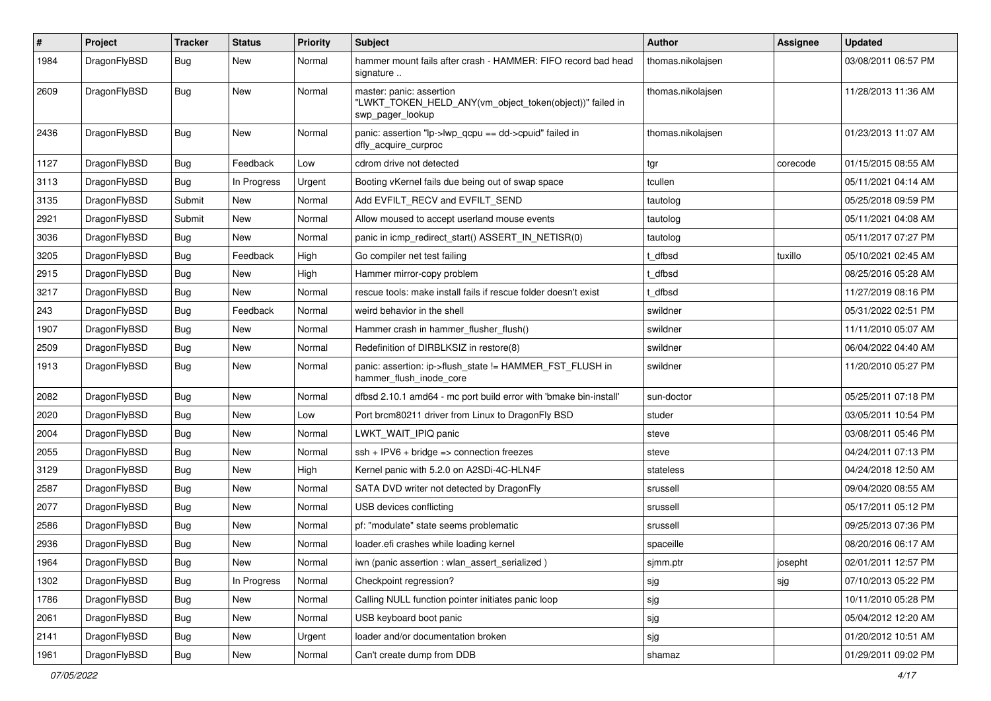| $\pmb{\#}$ | Project      | <b>Tracker</b> | <b>Status</b> | <b>Priority</b> | Subject                                                                                                  | <b>Author</b>     | <b>Assignee</b> | <b>Updated</b>      |
|------------|--------------|----------------|---------------|-----------------|----------------------------------------------------------------------------------------------------------|-------------------|-----------------|---------------------|
| 1984       | DragonFlyBSD | Bug            | New           | Normal          | hammer mount fails after crash - HAMMER: FIFO record bad head<br>signature                               | thomas.nikolajsen |                 | 03/08/2011 06:57 PM |
| 2609       | DragonFlyBSD | Bug            | New           | Normal          | master: panic: assertion<br>"LWKT TOKEN HELD ANY(vm object token(object))" failed in<br>swp_pager_lookup | thomas.nikolajsen |                 | 11/28/2013 11:36 AM |
| 2436       | DragonFlyBSD | Bug            | New           | Normal          | panic: assertion "lp->lwp_qcpu == dd->cpuid" failed in<br>dfly_acquire_curproc                           | thomas.nikolajsen |                 | 01/23/2013 11:07 AM |
| 1127       | DragonFlyBSD | <b>Bug</b>     | Feedback      | Low             | cdrom drive not detected                                                                                 | tgr               | corecode        | 01/15/2015 08:55 AM |
| 3113       | DragonFlyBSD | <b>Bug</b>     | In Progress   | Urgent          | Booting vKernel fails due being out of swap space                                                        | tcullen           |                 | 05/11/2021 04:14 AM |
| 3135       | DragonFlyBSD | Submit         | New           | Normal          | Add EVFILT_RECV and EVFILT_SEND                                                                          | tautolog          |                 | 05/25/2018 09:59 PM |
| 2921       | DragonFlyBSD | Submit         | New           | Normal          | Allow moused to accept userland mouse events                                                             | tautolog          |                 | 05/11/2021 04:08 AM |
| 3036       | DragonFlyBSD | Bug            | New           | Normal          | panic in icmp redirect start() ASSERT IN NETISR(0)                                                       | tautolog          |                 | 05/11/2017 07:27 PM |
| 3205       | DragonFlyBSD | Bug            | Feedback      | High            | Go compiler net test failing                                                                             | t_dfbsd           | tuxillo         | 05/10/2021 02:45 AM |
| 2915       | DragonFlyBSD | <b>Bug</b>     | New           | High            | Hammer mirror-copy problem                                                                               | dfbsd             |                 | 08/25/2016 05:28 AM |
| 3217       | DragonFlyBSD | Bug            | <b>New</b>    | Normal          | rescue tools: make install fails if rescue folder doesn't exist                                          | dfbsd             |                 | 11/27/2019 08:16 PM |
| 243        | DragonFlyBSD | Bug            | Feedback      | Normal          | weird behavior in the shell                                                                              | swildner          |                 | 05/31/2022 02:51 PM |
| 1907       | DragonFlyBSD | Bug            | <b>New</b>    | Normal          | Hammer crash in hammer_flusher_flush()                                                                   | swildner          |                 | 11/11/2010 05:07 AM |
| 2509       | DragonFlyBSD | Bug            | <b>New</b>    | Normal          | Redefinition of DIRBLKSIZ in restore(8)                                                                  | swildner          |                 | 06/04/2022 04:40 AM |
| 1913       | DragonFlyBSD | Bug            | New           | Normal          | panic: assertion: ip->flush_state != HAMMER_FST_FLUSH in<br>hammer_flush_inode_core                      | swildner          |                 | 11/20/2010 05:27 PM |
| 2082       | DragonFlyBSD | <b>Bug</b>     | <b>New</b>    | Normal          | dfbsd 2.10.1 amd64 - mc port build error with 'bmake bin-install'                                        | sun-doctor        |                 | 05/25/2011 07:18 PM |
| 2020       | DragonFlyBSD | Bug            | <b>New</b>    | Low             | Port brcm80211 driver from Linux to DragonFly BSD                                                        | studer            |                 | 03/05/2011 10:54 PM |
| 2004       | DragonFlyBSD | Bug            | <b>New</b>    | Normal          | LWKT_WAIT_IPIQ panic                                                                                     | steve             |                 | 03/08/2011 05:46 PM |
| 2055       | DragonFlyBSD | Bug            | New           | Normal          | $ssh + IPV6 + bridge \Rightarrow connection freezes$                                                     | steve             |                 | 04/24/2011 07:13 PM |
| 3129       | DragonFlyBSD | Bug            | <b>New</b>    | High            | Kernel panic with 5.2.0 on A2SDi-4C-HLN4F                                                                | stateless         |                 | 04/24/2018 12:50 AM |
| 2587       | DragonFlyBSD | Bug            | <b>New</b>    | Normal          | SATA DVD writer not detected by DragonFly                                                                | srussell          |                 | 09/04/2020 08:55 AM |
| 2077       | DragonFlyBSD | Bug            | New           | Normal          | USB devices conflicting                                                                                  | srussell          |                 | 05/17/2011 05:12 PM |
| 2586       | DragonFlyBSD | Bug            | <b>New</b>    | Normal          | pf: "modulate" state seems problematic                                                                   | srussell          |                 | 09/25/2013 07:36 PM |
| 2936       | DragonFlyBSD | Bug            | New           | Normal          | loader.efi crashes while loading kernel                                                                  | spaceille         |                 | 08/20/2016 06:17 AM |
| 1964       | DragonFlyBSD | Bug            | New           | Normal          | iwn (panic assertion : wlan_assert_serialized)                                                           | sjmm.ptr          | josepht         | 02/01/2011 12:57 PM |
| 1302       | DragonFlyBSD | <b>Bug</b>     | In Progress   | Normal          | Checkpoint regression?                                                                                   | sjg               | sjg             | 07/10/2013 05:22 PM |
| 1786       | DragonFlyBSD | <b>Bug</b>     | New           | Normal          | Calling NULL function pointer initiates panic loop                                                       | sjg               |                 | 10/11/2010 05:28 PM |
| 2061       | DragonFlyBSD | Bug            | New           | Normal          | USB keyboard boot panic                                                                                  | sjg               |                 | 05/04/2012 12:20 AM |
| 2141       | DragonFlyBSD | <b>Bug</b>     | New           | Urgent          | loader and/or documentation broken                                                                       | sjg               |                 | 01/20/2012 10:51 AM |
| 1961       | DragonFlyBSD | Bug            | New           | Normal          | Can't create dump from DDB                                                                               | shamaz            |                 | 01/29/2011 09:02 PM |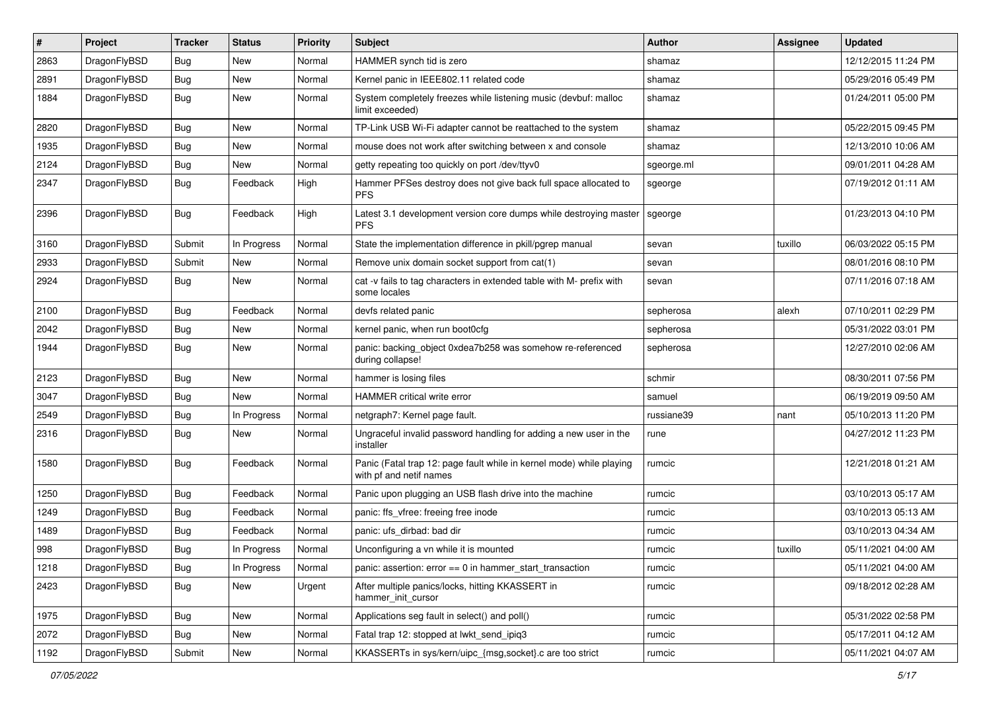| $\sharp$ | Project      | <b>Tracker</b> | <b>Status</b> | <b>Priority</b> | Subject                                                                                         | Author     | Assignee | <b>Updated</b>      |
|----------|--------------|----------------|---------------|-----------------|-------------------------------------------------------------------------------------------------|------------|----------|---------------------|
| 2863     | DragonFlyBSD | Bug            | New           | Normal          | HAMMER synch tid is zero                                                                        | shamaz     |          | 12/12/2015 11:24 PM |
| 2891     | DragonFlyBSD | <b>Bug</b>     | New           | Normal          | Kernel panic in IEEE802.11 related code                                                         | shamaz     |          | 05/29/2016 05:49 PM |
| 1884     | DragonFlyBSD | <b>Bug</b>     | New           | Normal          | System completely freezes while listening music (devbuf: malloc<br>limit exceeded)              | shamaz     |          | 01/24/2011 05:00 PM |
| 2820     | DragonFlyBSD | Bug            | <b>New</b>    | Normal          | TP-Link USB Wi-Fi adapter cannot be reattached to the system                                    | shamaz     |          | 05/22/2015 09:45 PM |
| 1935     | DragonFlyBSD | <b>Bug</b>     | New           | Normal          | mouse does not work after switching between x and console                                       | shamaz     |          | 12/13/2010 10:06 AM |
| 2124     | DragonFlyBSD | Bug            | New           | Normal          | getty repeating too quickly on port /dev/ttyv0                                                  | sgeorge.ml |          | 09/01/2011 04:28 AM |
| 2347     | DragonFlyBSD | Bug            | Feedback      | High            | Hammer PFSes destroy does not give back full space allocated to<br><b>PFS</b>                   | sgeorge    |          | 07/19/2012 01:11 AM |
| 2396     | DragonFlyBSD | <b>Bug</b>     | Feedback      | High            | Latest 3.1 development version core dumps while destroying master<br><b>PFS</b>                 | sgeorge    |          | 01/23/2013 04:10 PM |
| 3160     | DragonFlyBSD | Submit         | In Progress   | Normal          | State the implementation difference in pkill/pgrep manual                                       | sevan      | tuxillo  | 06/03/2022 05:15 PM |
| 2933     | DragonFlyBSD | Submit         | <b>New</b>    | Normal          | Remove unix domain socket support from cat(1)                                                   | sevan      |          | 08/01/2016 08:10 PM |
| 2924     | DragonFlyBSD | Bug            | New           | Normal          | cat -v fails to tag characters in extended table with M- prefix with<br>some locales            | sevan      |          | 07/11/2016 07:18 AM |
| 2100     | DragonFlyBSD | Bug            | Feedback      | Normal          | devfs related panic                                                                             | sepherosa  | alexh    | 07/10/2011 02:29 PM |
| 2042     | DragonFlyBSD | Bug            | <b>New</b>    | Normal          | kernel panic, when run boot0cfg                                                                 | sepherosa  |          | 05/31/2022 03:01 PM |
| 1944     | DragonFlyBSD | Bug            | New           | Normal          | panic: backing_object 0xdea7b258 was somehow re-referenced<br>during collapse!                  | sepherosa  |          | 12/27/2010 02:06 AM |
| 2123     | DragonFlyBSD | <b>Bug</b>     | <b>New</b>    | Normal          | hammer is losing files                                                                          | schmir     |          | 08/30/2011 07:56 PM |
| 3047     | DragonFlyBSD | Bug            | <b>New</b>    | Normal          | <b>HAMMER</b> critical write error                                                              | samuel     |          | 06/19/2019 09:50 AM |
| 2549     | DragonFlyBSD | Bug            | In Progress   | Normal          | netgraph7: Kernel page fault.                                                                   | russiane39 | nant     | 05/10/2013 11:20 PM |
| 2316     | DragonFlyBSD | <b>Bug</b>     | New           | Normal          | Ungraceful invalid password handling for adding a new user in the<br>installer                  | rune       |          | 04/27/2012 11:23 PM |
| 1580     | DragonFlyBSD | Bug            | Feedback      | Normal          | Panic (Fatal trap 12: page fault while in kernel mode) while playing<br>with pf and netif names | rumcic     |          | 12/21/2018 01:21 AM |
| 1250     | DragonFlyBSD | Bug            | Feedback      | Normal          | Panic upon plugging an USB flash drive into the machine                                         | rumcic     |          | 03/10/2013 05:17 AM |
| 1249     | DragonFlyBSD | <b>Bug</b>     | Feedback      | Normal          | panic: ffs_vfree: freeing free inode                                                            | rumcic     |          | 03/10/2013 05:13 AM |
| 1489     | DragonFlyBSD | Bug            | Feedback      | Normal          | panic: ufs_dirbad: bad dir                                                                      | rumcic     |          | 03/10/2013 04:34 AM |
| 998      | DragonFlyBSD | Bug            | In Progress   | Normal          | Unconfiguring a vn while it is mounted                                                          | rumcic     | tuxillo  | 05/11/2021 04:00 AM |
| 1218     | DragonFlyBSD | Bug            | In Progress   | Normal          | panic: assertion: error == 0 in hammer_start_transaction                                        | rumcic     |          | 05/11/2021 04:00 AM |
| 2423     | DragonFlyBSD | <b>Bug</b>     | New           | Urgent          | After multiple panics/locks, hitting KKASSERT in<br>hammer_init_cursor                          | rumcic     |          | 09/18/2012 02:28 AM |
| 1975     | DragonFlyBSD | <b>Bug</b>     | New           | Normal          | Applications seg fault in select() and poll()                                                   | rumcic     |          | 05/31/2022 02:58 PM |
| 2072     | DragonFlyBSD | Bug            | New           | Normal          | Fatal trap 12: stopped at lwkt_send_ipiq3                                                       | rumcic     |          | 05/17/2011 04:12 AM |
| 1192     | DragonFlyBSD | Submit         | New           | Normal          | KKASSERTs in sys/kern/uipc_{msg,socket}.c are too strict                                        | rumcic     |          | 05/11/2021 04:07 AM |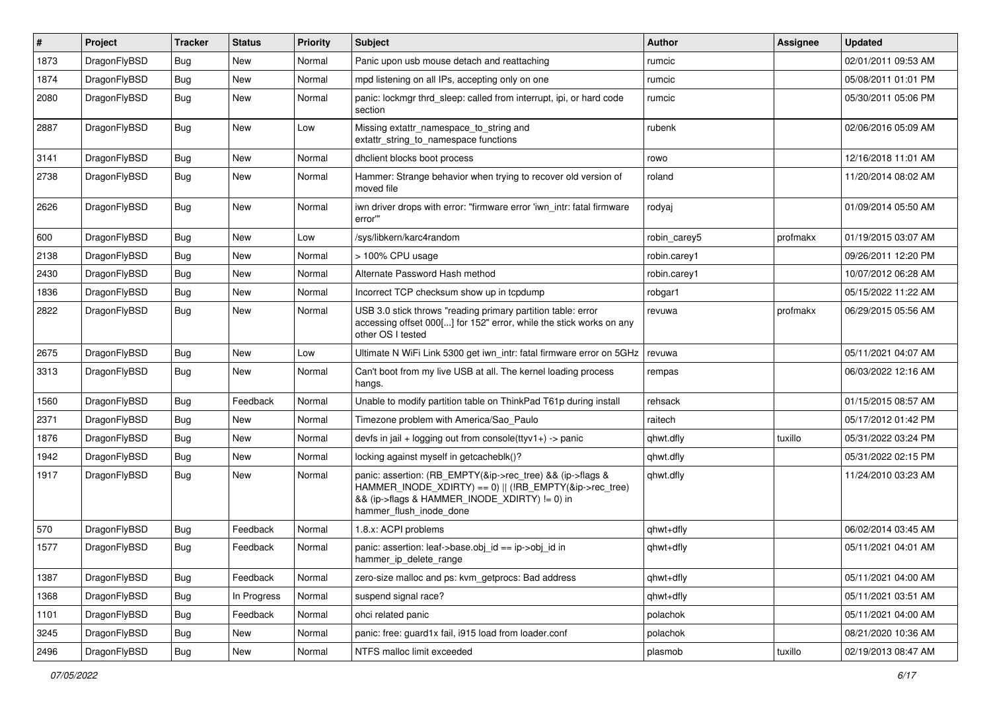| #    | Project      | <b>Tracker</b> | <b>Status</b> | <b>Priority</b> | Subject                                                                                                                                                                                           | Author       | Assignee | <b>Updated</b>      |
|------|--------------|----------------|---------------|-----------------|---------------------------------------------------------------------------------------------------------------------------------------------------------------------------------------------------|--------------|----------|---------------------|
| 1873 | DragonFlyBSD | <b>Bug</b>     | <b>New</b>    | Normal          | Panic upon usb mouse detach and reattaching                                                                                                                                                       | rumcic       |          | 02/01/2011 09:53 AM |
| 1874 | DragonFlyBSD | Bug            | <b>New</b>    | Normal          | mpd listening on all IPs, accepting only on one                                                                                                                                                   | rumcic       |          | 05/08/2011 01:01 PM |
| 2080 | DragonFlyBSD | <b>Bug</b>     | New           | Normal          | panic: lockmgr thrd_sleep: called from interrupt, ipi, or hard code<br>section                                                                                                                    | rumcic       |          | 05/30/2011 05:06 PM |
| 2887 | DragonFlyBSD | Bug            | New           | Low             | Missing extattr_namespace_to_string and<br>extattr_string_to_namespace functions                                                                                                                  | rubenk       |          | 02/06/2016 05:09 AM |
| 3141 | DragonFlyBSD | <b>Bug</b>     | <b>New</b>    | Normal          | dhclient blocks boot process                                                                                                                                                                      | rowo         |          | 12/16/2018 11:01 AM |
| 2738 | DragonFlyBSD | <b>Bug</b>     | New           | Normal          | Hammer: Strange behavior when trying to recover old version of<br>moved file                                                                                                                      | roland       |          | 11/20/2014 08:02 AM |
| 2626 | DragonFlyBSD | <b>Bug</b>     | New           | Normal          | iwn driver drops with error: "firmware error 'iwn_intr: fatal firmware<br>error"                                                                                                                  | rodyaj       |          | 01/09/2014 05:50 AM |
| 600  | DragonFlyBSD | <b>Bug</b>     | New           | Low             | /sys/libkern/karc4random                                                                                                                                                                          | robin carey5 | profmakx | 01/19/2015 03:07 AM |
| 2138 | DragonFlyBSD | Bug            | New           | Normal          | > 100% CPU usage                                                                                                                                                                                  | robin.carey1 |          | 09/26/2011 12:20 PM |
| 2430 | DragonFlyBSD | <b>Bug</b>     | New           | Normal          | Alternate Password Hash method                                                                                                                                                                    | robin.carey1 |          | 10/07/2012 06:28 AM |
| 1836 | DragonFlyBSD | <b>Bug</b>     | New           | Normal          | Incorrect TCP checksum show up in tcpdump                                                                                                                                                         | robgar1      |          | 05/15/2022 11:22 AM |
| 2822 | DragonFlyBSD | Bug            | New           | Normal          | USB 3.0 stick throws "reading primary partition table: error<br>accessing offset 000[] for 152" error, while the stick works on any<br>other OS I tested                                          | revuwa       | profmakx | 06/29/2015 05:56 AM |
| 2675 | DragonFlyBSD | <b>Bug</b>     | New           | Low             | Ultimate N WiFi Link 5300 get iwn intr: fatal firmware error on 5GHz                                                                                                                              | revuwa       |          | 05/11/2021 04:07 AM |
| 3313 | DragonFlyBSD | <b>Bug</b>     | New           | Normal          | Can't boot from my live USB at all. The kernel loading process<br>hangs.                                                                                                                          | rempas       |          | 06/03/2022 12:16 AM |
| 1560 | DragonFlyBSD | <b>Bug</b>     | Feedback      | Normal          | Unable to modify partition table on ThinkPad T61p during install                                                                                                                                  | rehsack      |          | 01/15/2015 08:57 AM |
| 2371 | DragonFlyBSD | <b>Bug</b>     | New           | Normal          | Timezone problem with America/Sao Paulo                                                                                                                                                           | raitech      |          | 05/17/2012 01:42 PM |
| 1876 | DragonFlyBSD | <b>Bug</b>     | New           | Normal          | devfs in $ ail + logging$ out from console(ttyv1+) -> panic                                                                                                                                       | qhwt.dfly    | tuxillo  | 05/31/2022 03:24 PM |
| 1942 | DragonFlyBSD | <b>Bug</b>     | New           | Normal          | locking against myself in getcacheblk()?                                                                                                                                                          | qhwt.dfly    |          | 05/31/2022 02:15 PM |
| 1917 | DragonFlyBSD | <b>Bug</b>     | New           | Normal          | panic: assertion: (RB_EMPTY(&ip->rec_tree) && (ip->flags &<br>HAMMER_INODE_XDIRTY) == 0)    (!RB_EMPTY(&ip->rec_tree)<br>&& (ip->flags & HAMMER_INODE_XDIRTY) != 0) in<br>hammer_flush_inode_done | qhwt.dfly    |          | 11/24/2010 03:23 AM |
| 570  | DragonFlyBSD | <b>Bug</b>     | Feedback      | Normal          | 1.8.x: ACPI problems                                                                                                                                                                              | qhwt+dfly    |          | 06/02/2014 03:45 AM |
| 1577 | DragonFlyBSD | <b>Bug</b>     | Feedback      | Normal          | panic: assertion: leaf->base.obj id == ip->obj id in<br>hammer_ip_delete_range                                                                                                                    | qhwt+dfly    |          | 05/11/2021 04:01 AM |
| 1387 | DragonFlyBSD | <b>Bug</b>     | Feedback      | Normal          | zero-size malloc and ps: kvm getprocs: Bad address                                                                                                                                                | qhwt+dfly    |          | 05/11/2021 04:00 AM |
| 1368 | DragonFlyBSD | <b>Bug</b>     | In Progress   | Normal          | suspend signal race?                                                                                                                                                                              | qhwt+dfly    |          | 05/11/2021 03:51 AM |
| 1101 | DragonFlyBSD | <b>Bug</b>     | Feedback      | Normal          | ohci related panic                                                                                                                                                                                | polachok     |          | 05/11/2021 04:00 AM |
| 3245 | DragonFlyBSD | <b>Bug</b>     | New           | Normal          | panic: free: guard1x fail, i915 load from loader.conf                                                                                                                                             | polachok     |          | 08/21/2020 10:36 AM |
| 2496 | DragonFlyBSD | i Bug          | New           | Normal          | NTFS malloc limit exceeded                                                                                                                                                                        | plasmob      | tuxillo  | 02/19/2013 08:47 AM |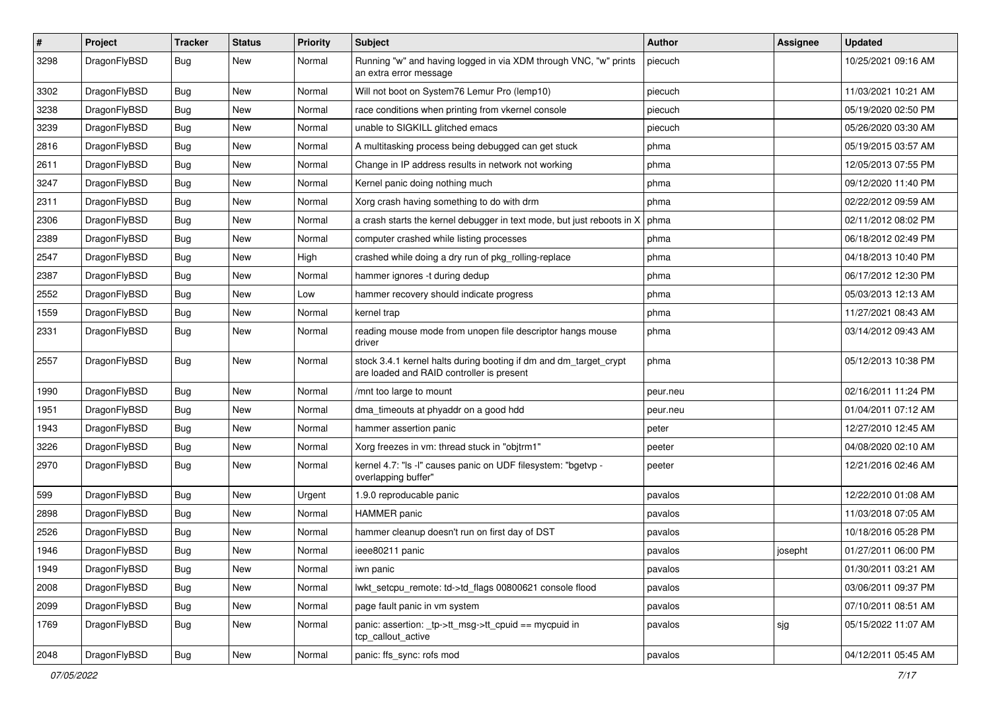| $\sharp$ | Project      | <b>Tracker</b> | <b>Status</b> | <b>Priority</b> | Subject                                                                                                        | Author   | Assignee | <b>Updated</b>      |
|----------|--------------|----------------|---------------|-----------------|----------------------------------------------------------------------------------------------------------------|----------|----------|---------------------|
| 3298     | DragonFlyBSD | Bug            | New           | Normal          | Running "w" and having logged in via XDM through VNC, "w" prints<br>an extra error message                     | piecuch  |          | 10/25/2021 09:16 AM |
| 3302     | DragonFlyBSD | Bug            | <b>New</b>    | Normal          | Will not boot on System76 Lemur Pro (lemp10)                                                                   | piecuch  |          | 11/03/2021 10:21 AM |
| 3238     | DragonFlyBSD | <b>Bug</b>     | New           | Normal          | race conditions when printing from vkernel console                                                             | piecuch  |          | 05/19/2020 02:50 PM |
| 3239     | DragonFlyBSD | Bug            | <b>New</b>    | Normal          | unable to SIGKILL glitched emacs                                                                               | piecuch  |          | 05/26/2020 03:30 AM |
| 2816     | DragonFlyBSD | <b>Bug</b>     | <b>New</b>    | Normal          | A multitasking process being debugged can get stuck                                                            | phma     |          | 05/19/2015 03:57 AM |
| 2611     | DragonFlyBSD | <b>Bug</b>     | <b>New</b>    | Normal          | Change in IP address results in network not working                                                            | phma     |          | 12/05/2013 07:55 PM |
| 3247     | DragonFlyBSD | <b>Bug</b>     | New           | Normal          | Kernel panic doing nothing much                                                                                | phma     |          | 09/12/2020 11:40 PM |
| 2311     | DragonFlyBSD | <b>Bug</b>     | New           | Normal          | Xorg crash having something to do with drm                                                                     | phma     |          | 02/22/2012 09:59 AM |
| 2306     | DragonFlyBSD | Bug            | <b>New</b>    | Normal          | a crash starts the kernel debugger in text mode, but just reboots in X                                         | phma     |          | 02/11/2012 08:02 PM |
| 2389     | DragonFlyBSD | <b>Bug</b>     | New           | Normal          | computer crashed while listing processes                                                                       | phma     |          | 06/18/2012 02:49 PM |
| 2547     | DragonFlyBSD | <b>Bug</b>     | New           | High            | crashed while doing a dry run of pkg_rolling-replace                                                           | phma     |          | 04/18/2013 10:40 PM |
| 2387     | DragonFlyBSD | <b>Bug</b>     | New           | Normal          | hammer ignores -t during dedup                                                                                 | phma     |          | 06/17/2012 12:30 PM |
| 2552     | DragonFlyBSD | <b>Bug</b>     | New           | Low             | hammer recovery should indicate progress                                                                       | phma     |          | 05/03/2013 12:13 AM |
| 1559     | DragonFlyBSD | <b>Bug</b>     | New           | Normal          | kernel trap                                                                                                    | phma     |          | 11/27/2021 08:43 AM |
| 2331     | DragonFlyBSD | <b>Bug</b>     | New           | Normal          | reading mouse mode from unopen file descriptor hangs mouse<br>driver                                           | phma     |          | 03/14/2012 09:43 AM |
| 2557     | DragonFlyBSD | <b>Bug</b>     | <b>New</b>    | Normal          | stock 3.4.1 kernel halts during booting if dm and dm_target_crypt<br>are loaded and RAID controller is present | phma     |          | 05/12/2013 10:38 PM |
| 1990     | DragonFlyBSD | Bug            | New           | Normal          | /mnt too large to mount                                                                                        | peur.neu |          | 02/16/2011 11:24 PM |
| 1951     | DragonFlyBSD | <b>Bug</b>     | New           | Normal          | dma timeouts at phyaddr on a good hdd                                                                          | peur.neu |          | 01/04/2011 07:12 AM |
| 1943     | DragonFlyBSD | <b>Bug</b>     | New           | Normal          | hammer assertion panic                                                                                         | peter    |          | 12/27/2010 12:45 AM |
| 3226     | DragonFlyBSD | <b>Bug</b>     | <b>New</b>    | Normal          | Xorg freezes in vm: thread stuck in "objtrm1"                                                                  | peeter   |          | 04/08/2020 02:10 AM |
| 2970     | DragonFlyBSD | <b>Bug</b>     | <b>New</b>    | Normal          | kernel 4.7: "Is -I" causes panic on UDF filesystem: "bgetvp -<br>overlapping buffer"                           | peeter   |          | 12/21/2016 02:46 AM |
| 599      | DragonFlyBSD | Bug            | <b>New</b>    | Urgent          | 1.9.0 reproducable panic                                                                                       | pavalos  |          | 12/22/2010 01:08 AM |
| 2898     | DragonFlyBSD | <b>Bug</b>     | New           | Normal          | HAMMER panic                                                                                                   | pavalos  |          | 11/03/2018 07:05 AM |
| 2526     | DragonFlyBSD | <b>Bug</b>     | <b>New</b>    | Normal          | hammer cleanup doesn't run on first day of DST                                                                 | pavalos  |          | 10/18/2016 05:28 PM |
| 1946     | DragonFlyBSD | <b>Bug</b>     | New           | Normal          | ieee80211 panic                                                                                                | pavalos  | josepht  | 01/27/2011 06:00 PM |
| 1949     | DragonFlyBSD | <b>Bug</b>     | New           | Normal          | iwn panic                                                                                                      | pavalos  |          | 01/30/2011 03:21 AM |
| 2008     | DragonFlyBSD | <b>Bug</b>     | New           | Normal          | lwkt_setcpu_remote: td->td_flags 00800621 console flood                                                        | pavalos  |          | 03/06/2011 09:37 PM |
| 2099     | DragonFlyBSD | <b>Bug</b>     | New           | Normal          | page fault panic in vm system                                                                                  | pavalos  |          | 07/10/2011 08:51 AM |
| 1769     | DragonFlyBSD | <b>Bug</b>     | New           | Normal          | panic: assertion: _tp->tt_msg->tt_cpuid == mycpuid in<br>tcp_callout_active                                    | pavalos  | sjg      | 05/15/2022 11:07 AM |
| 2048     | DragonFlyBSD | Bug            | New           | Normal          | panic: ffs_sync: rofs mod                                                                                      | pavalos  |          | 04/12/2011 05:45 AM |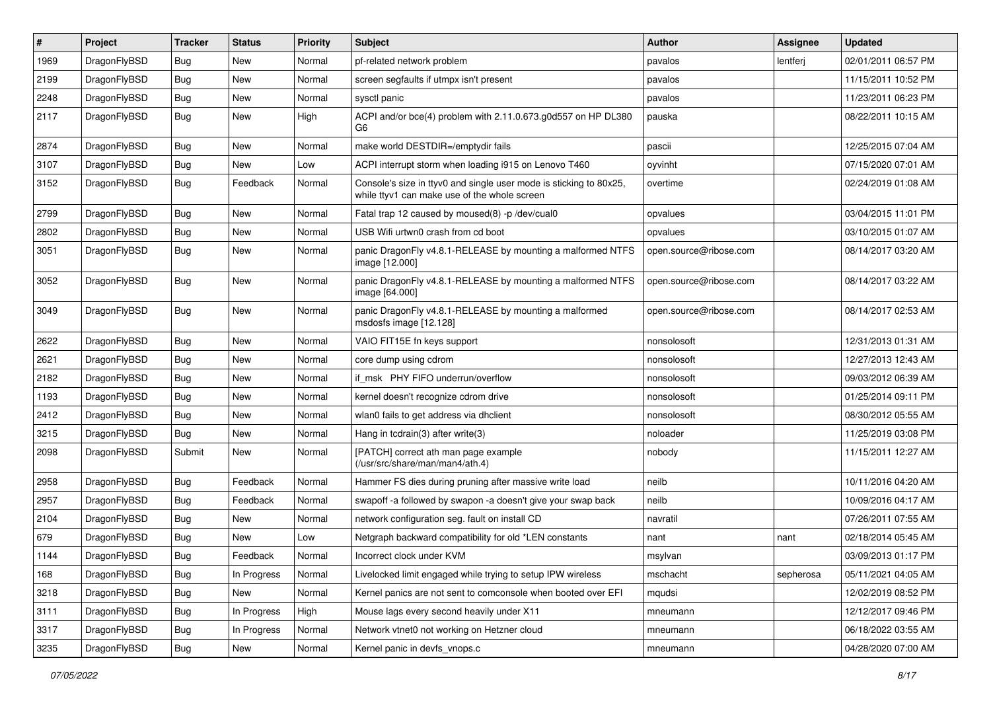| ∦    | Project      | <b>Tracker</b> | <b>Status</b> | <b>Priority</b> | Subject                                                                                                            | <b>Author</b>          | Assignee  | <b>Updated</b>      |
|------|--------------|----------------|---------------|-----------------|--------------------------------------------------------------------------------------------------------------------|------------------------|-----------|---------------------|
| 1969 | DragonFlyBSD | Bug            | <b>New</b>    | Normal          | pf-related network problem                                                                                         | pavalos                | lentferj  | 02/01/2011 06:57 PM |
| 2199 | DragonFlyBSD | <b>Bug</b>     | <b>New</b>    | Normal          | screen segfaults if utmpx isn't present                                                                            | pavalos                |           | 11/15/2011 10:52 PM |
| 2248 | DragonFlyBSD | <b>Bug</b>     | <b>New</b>    | Normal          | sysctl panic                                                                                                       | pavalos                |           | 11/23/2011 06:23 PM |
| 2117 | DragonFlyBSD | Bug            | <b>New</b>    | High            | ACPI and/or bce(4) problem with 2.11.0.673.g0d557 on HP DL380<br>G6                                                | pauska                 |           | 08/22/2011 10:15 AM |
| 2874 | DragonFlyBSD | <b>Bug</b>     | New           | Normal          | make world DESTDIR=/emptydir fails                                                                                 | pascii                 |           | 12/25/2015 07:04 AM |
| 3107 | DragonFlyBSD | Bug            | New           | Low             | ACPI interrupt storm when loading i915 on Lenovo T460                                                              | oyvinht                |           | 07/15/2020 07:01 AM |
| 3152 | DragonFlyBSD | <b>Bug</b>     | Feedback      | Normal          | Console's size in ttyv0 and single user mode is sticking to 80x25,<br>while ttyv1 can make use of the whole screen | overtime               |           | 02/24/2019 01:08 AM |
| 2799 | DragonFlyBSD | <b>Bug</b>     | <b>New</b>    | Normal          | Fatal trap 12 caused by moused(8) -p /dev/cual0                                                                    | opvalues               |           | 03/04/2015 11:01 PM |
| 2802 | DragonFlyBSD | <b>Bug</b>     | <b>New</b>    | Normal          | USB Wifi urtwn0 crash from cd boot                                                                                 | opvalues               |           | 03/10/2015 01:07 AM |
| 3051 | DragonFlyBSD | Bug            | <b>New</b>    | Normal          | panic DragonFly v4.8.1-RELEASE by mounting a malformed NTFS<br>image [12.000]                                      | open.source@ribose.com |           | 08/14/2017 03:20 AM |
| 3052 | DragonFlyBSD | <b>Bug</b>     | New           | Normal          | panic DragonFly v4.8.1-RELEASE by mounting a malformed NTFS<br>image [64.000]                                      | open.source@ribose.com |           | 08/14/2017 03:22 AM |
| 3049 | DragonFlyBSD | Bug            | New           | Normal          | panic DragonFly v4.8.1-RELEASE by mounting a malformed<br>msdosfs image [12.128]                                   | open.source@ribose.com |           | 08/14/2017 02:53 AM |
| 2622 | DragonFlyBSD | Bug            | <b>New</b>    | Normal          | VAIO FIT15E fn keys support                                                                                        | nonsolosoft            |           | 12/31/2013 01:31 AM |
| 2621 | DragonFlyBSD | <b>Bug</b>     | <b>New</b>    | Normal          | core dump using cdrom                                                                                              | nonsolosoft            |           | 12/27/2013 12:43 AM |
| 2182 | DragonFlyBSD | Bug            | <b>New</b>    | Normal          | if msk PHY FIFO underrun/overflow                                                                                  | nonsolosoft            |           | 09/03/2012 06:39 AM |
| 1193 | DragonFlyBSD | Bug            | <b>New</b>    | Normal          | kernel doesn't recognize cdrom drive                                                                               | nonsolosoft            |           | 01/25/2014 09:11 PM |
| 2412 | DragonFlyBSD | <b>Bug</b>     | <b>New</b>    | Normal          | wlan0 fails to get address via dhclient                                                                            | nonsolosoft            |           | 08/30/2012 05:55 AM |
| 3215 | DragonFlyBSD | Bug            | <b>New</b>    | Normal          | Hang in tcdrain(3) after write(3)                                                                                  | noloader               |           | 11/25/2019 03:08 PM |
| 2098 | DragonFlyBSD | Submit         | New           | Normal          | [PATCH] correct ath man page example<br>(/usr/src/share/man/man4/ath.4)                                            | nobody                 |           | 11/15/2011 12:27 AM |
| 2958 | DragonFlyBSD | Bug            | Feedback      | Normal          | Hammer FS dies during pruning after massive write load                                                             | neilb                  |           | 10/11/2016 04:20 AM |
| 2957 | DragonFlyBSD | <b>Bug</b>     | Feedback      | Normal          | swapoff -a followed by swapon -a doesn't give your swap back                                                       | neilb                  |           | 10/09/2016 04:17 AM |
| 2104 | DragonFlyBSD | Bug            | <b>New</b>    | Normal          | network configuration seg. fault on install CD                                                                     | navratil               |           | 07/26/2011 07:55 AM |
| 679  | DragonFlyBSD | <b>Bug</b>     | <b>New</b>    | Low             | Netgraph backward compatibility for old *LEN constants                                                             | nant                   | nant      | 02/18/2014 05:45 AM |
| 1144 | DragonFlyBSD | Bug            | Feedback      | Normal          | Incorrect clock under KVM                                                                                          | msylvan                |           | 03/09/2013 01:17 PM |
| 168  | DragonFlyBSD | Bug            | In Progress   | Normal          | Livelocked limit engaged while trying to setup IPW wireless                                                        | mschacht               | sepherosa | 05/11/2021 04:05 AM |
| 3218 | DragonFlyBSD | <b>Bug</b>     | New           | Normal          | Kernel panics are not sent to comconsole when booted over EFI                                                      | mqudsi                 |           | 12/02/2019 08:52 PM |
| 3111 | DragonFlyBSD | <b>Bug</b>     | In Progress   | High            | Mouse lags every second heavily under X11                                                                          | mneumann               |           | 12/12/2017 09:46 PM |
| 3317 | DragonFlyBSD | Bug            | In Progress   | Normal          | Network vtnet0 not working on Hetzner cloud                                                                        | mneumann               |           | 06/18/2022 03:55 AM |
| 3235 | DragonFlyBSD | Bug            | New           | Normal          | Kernel panic in devfs_vnops.c                                                                                      | mneumann               |           | 04/28/2020 07:00 AM |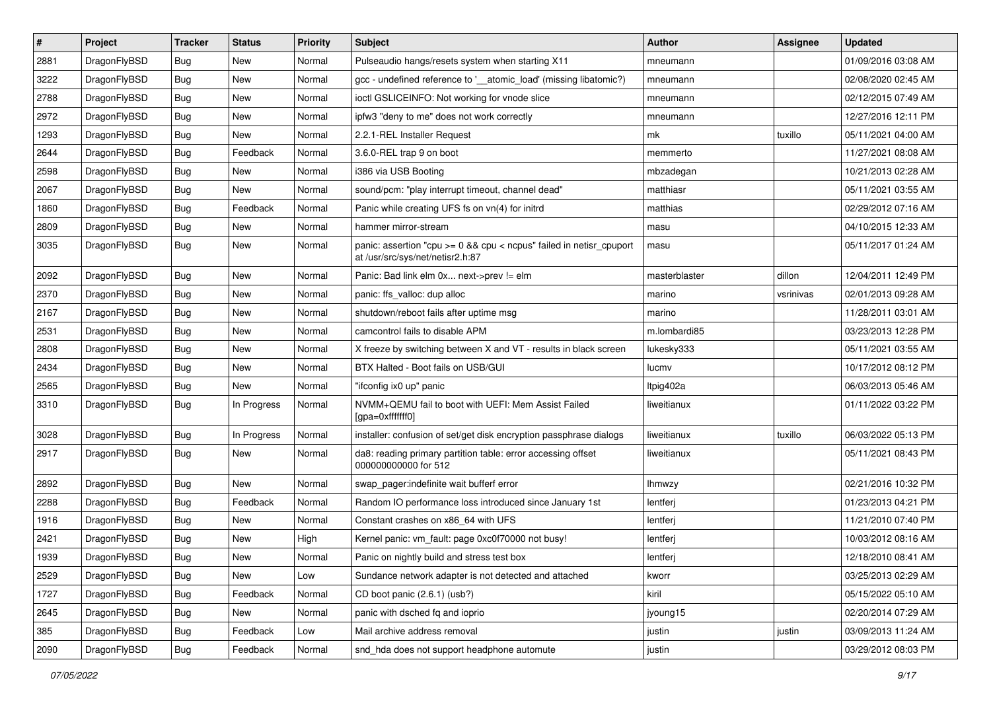| $\sharp$ | Project      | <b>Tracker</b> | <b>Status</b> | <b>Priority</b> | Subject                                                                                                 | <b>Author</b> | Assignee  | <b>Updated</b>      |
|----------|--------------|----------------|---------------|-----------------|---------------------------------------------------------------------------------------------------------|---------------|-----------|---------------------|
| 2881     | DragonFlyBSD | Bug            | New           | Normal          | Pulseaudio hangs/resets system when starting X11                                                        | mneumann      |           | 01/09/2016 03:08 AM |
| 3222     | DragonFlyBSD | Bug            | <b>New</b>    | Normal          | gcc - undefined reference to '__atomic_load' (missing libatomic?)                                       | mneumann      |           | 02/08/2020 02:45 AM |
| 2788     | DragonFlyBSD | Bug            | <b>New</b>    | Normal          | ioctl GSLICEINFO: Not working for vnode slice                                                           | mneumann      |           | 02/12/2015 07:49 AM |
| 2972     | DragonFlyBSD | Bug            | New           | Normal          | ipfw3 "deny to me" does not work correctly                                                              | mneumann      |           | 12/27/2016 12:11 PM |
| 1293     | DragonFlyBSD | Bug            | <b>New</b>    | Normal          | 2.2.1-REL Installer Request                                                                             | mk            | tuxillo   | 05/11/2021 04:00 AM |
| 2644     | DragonFlyBSD | <b>Bug</b>     | Feedback      | Normal          | 3.6.0-REL trap 9 on boot                                                                                | memmerto      |           | 11/27/2021 08:08 AM |
| 2598     | DragonFlyBSD | Bug            | New           | Normal          | i386 via USB Booting                                                                                    | mbzadegan     |           | 10/21/2013 02:28 AM |
| 2067     | DragonFlyBSD | Bug            | New           | Normal          | sound/pcm: "play interrupt timeout, channel dead"                                                       | matthiasr     |           | 05/11/2021 03:55 AM |
| 1860     | DragonFlyBSD | Bug            | Feedback      | Normal          | Panic while creating UFS fs on vn(4) for initrd                                                         | matthias      |           | 02/29/2012 07:16 AM |
| 2809     | DragonFlyBSD | Bug            | New           | Normal          | hammer mirror-stream                                                                                    | masu          |           | 04/10/2015 12:33 AM |
| 3035     | DragonFlyBSD | Bug            | New           | Normal          | panic: assertion "cpu >= 0 && cpu < ncpus" failed in netisr_cpuport<br>at /usr/src/sys/net/netisr2.h:87 | masu          |           | 05/11/2017 01:24 AM |
| 2092     | DragonFlyBSD | Bug            | <b>New</b>    | Normal          | Panic: Bad link elm 0x next->prev != elm                                                                | masterblaster | dillon    | 12/04/2011 12:49 PM |
| 2370     | DragonFlyBSD | <b>Bug</b>     | New           | Normal          | panic: ffs_valloc: dup alloc                                                                            | marino        | vsrinivas | 02/01/2013 09:28 AM |
| 2167     | DragonFlyBSD | Bug            | New           | Normal          | shutdown/reboot fails after uptime msg                                                                  | marino        |           | 11/28/2011 03:01 AM |
| 2531     | DragonFlyBSD | Bug            | <b>New</b>    | Normal          | camcontrol fails to disable APM                                                                         | m.lombardi85  |           | 03/23/2013 12:28 PM |
| 2808     | DragonFlyBSD | <b>Bug</b>     | New           | Normal          | X freeze by switching between X and VT - results in black screen                                        | lukesky333    |           | 05/11/2021 03:55 AM |
| 2434     | DragonFlyBSD | Bug            | New           | Normal          | BTX Halted - Boot fails on USB/GUI                                                                      | lucmv         |           | 10/17/2012 08:12 PM |
| 2565     | DragonFlyBSD | Bug            | New           | Normal          | "ifconfig ix0 up" panic                                                                                 | Itpig402a     |           | 06/03/2013 05:46 AM |
| 3310     | DragonFlyBSD | Bug            | In Progress   | Normal          | NVMM+QEMU fail to boot with UEFI: Mem Assist Failed<br>[gpa=0xfffffff0]                                 | liweitianux   |           | 01/11/2022 03:22 PM |
| 3028     | DragonFlyBSD | Bug            | In Progress   | Normal          | installer: confusion of set/get disk encryption passphrase dialogs                                      | liweitianux   | tuxillo   | 06/03/2022 05:13 PM |
| 2917     | DragonFlyBSD | Bug            | New           | Normal          | da8: reading primary partition table: error accessing offset<br>000000000000 for 512                    | liweitianux   |           | 05/11/2021 08:43 PM |
| 2892     | DragonFlyBSD | Bug            | New           | Normal          | swap_pager:indefinite wait bufferf error                                                                | <b>Ihmwzy</b> |           | 02/21/2016 10:32 PM |
| 2288     | DragonFlyBSD | Bug            | Feedback      | Normal          | Random IO performance loss introduced since January 1st                                                 | lentferj      |           | 01/23/2013 04:21 PM |
| 1916     | DragonFlyBSD | Bug            | New           | Normal          | Constant crashes on x86_64 with UFS                                                                     | lentferj      |           | 11/21/2010 07:40 PM |
| 2421     | DragonFlyBSD | Bug            | New           | High            | Kernel panic: vm_fault: page 0xc0f70000 not busy!                                                       | lentferj      |           | 10/03/2012 08:16 AM |
| 1939     | DragonFlyBSD | Bug            | New           | Normal          | Panic on nightly build and stress test box                                                              | lentferj      |           | 12/18/2010 08:41 AM |
| 2529     | DragonFlyBSD | Bug            | New           | Low             | Sundance network adapter is not detected and attached                                                   | kworr         |           | 03/25/2013 02:29 AM |
| 1727     | DragonFlyBSD | Bug            | Feedback      | Normal          | CD boot panic (2.6.1) (usb?)                                                                            | kiril         |           | 05/15/2022 05:10 AM |
| 2645     | DragonFlyBSD | <b>Bug</b>     | New           | Normal          | panic with dsched fq and ioprio                                                                         | jyoung15      |           | 02/20/2014 07:29 AM |
| 385      | DragonFlyBSD | <b>Bug</b>     | Feedback      | Low             | Mail archive address removal                                                                            | justin        | justin    | 03/09/2013 11:24 AM |
| 2090     | DragonFlyBSD | <b>Bug</b>     | Feedback      | Normal          | snd_hda does not support headphone automute                                                             | justin        |           | 03/29/2012 08:03 PM |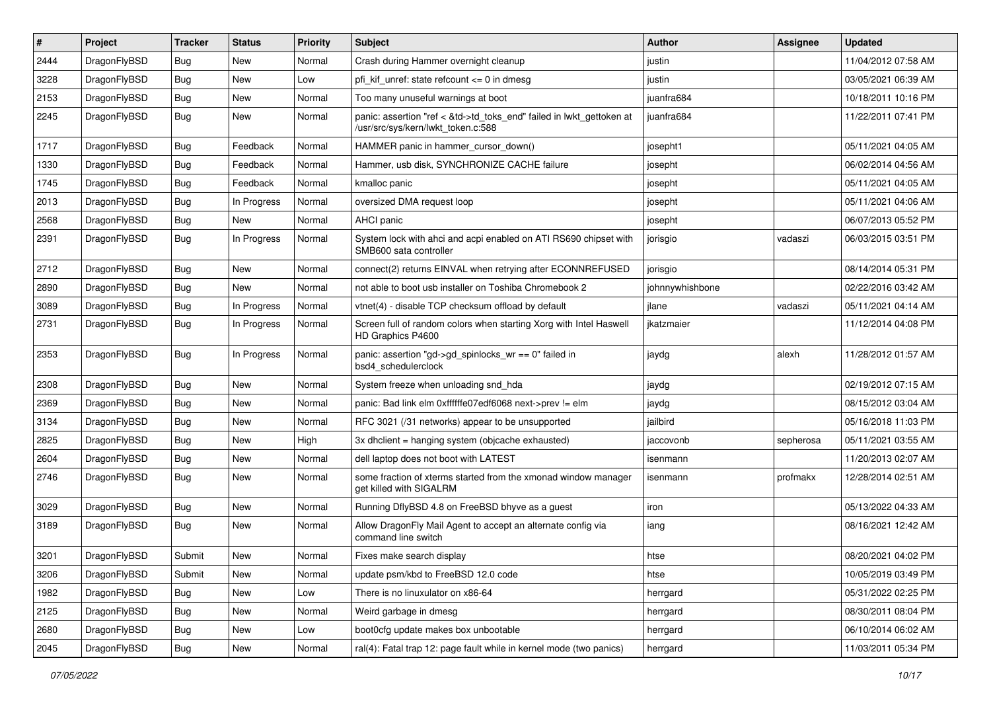| $\pmb{\#}$ | Project      | <b>Tracker</b> | <b>Status</b> | <b>Priority</b> | Subject                                                                                                    | Author          | Assignee  | <b>Updated</b>      |
|------------|--------------|----------------|---------------|-----------------|------------------------------------------------------------------------------------------------------------|-----------------|-----------|---------------------|
| 2444       | DragonFlyBSD | Bug            | <b>New</b>    | Normal          | Crash during Hammer overnight cleanup                                                                      | justin          |           | 11/04/2012 07:58 AM |
| 3228       | DragonFlyBSD | Bug            | <b>New</b>    | Low             | pfi_kif_unref: state refcount <= 0 in dmesg                                                                | justin          |           | 03/05/2021 06:39 AM |
| 2153       | DragonFlyBSD | <b>Bug</b>     | New           | Normal          | Too many unuseful warnings at boot                                                                         | juanfra684      |           | 10/18/2011 10:16 PM |
| 2245       | DragonFlyBSD | Bug            | New           | Normal          | panic: assertion "ref < &td->td_toks_end" failed in lwkt_gettoken at<br>/usr/src/sys/kern/lwkt_token.c:588 | juanfra684      |           | 11/22/2011 07:41 PM |
| 1717       | DragonFlyBSD | <b>Bug</b>     | Feedback      | Normal          | HAMMER panic in hammer cursor down()                                                                       | josepht1        |           | 05/11/2021 04:05 AM |
| 1330       | DragonFlyBSD | <b>Bug</b>     | Feedback      | Normal          | Hammer, usb disk, SYNCHRONIZE CACHE failure                                                                | josepht         |           | 06/02/2014 04:56 AM |
| 1745       | DragonFlyBSD | <b>Bug</b>     | Feedback      | Normal          | kmalloc panic                                                                                              | josepht         |           | 05/11/2021 04:05 AM |
| 2013       | DragonFlyBSD | <b>Bug</b>     | In Progress   | Normal          | oversized DMA request loop                                                                                 | josepht         |           | 05/11/2021 04:06 AM |
| 2568       | DragonFlyBSD | Bug            | New           | Normal          | AHCI panic                                                                                                 | josepht         |           | 06/07/2013 05:52 PM |
| 2391       | DragonFlyBSD | Bug            | In Progress   | Normal          | System lock with ahci and acpi enabled on ATI RS690 chipset with<br>SMB600 sata controller                 | jorisgio        | vadaszi   | 06/03/2015 03:51 PM |
| 2712       | DragonFlyBSD | Bug            | New           | Normal          | connect(2) returns EINVAL when retrying after ECONNREFUSED                                                 | jorisgio        |           | 08/14/2014 05:31 PM |
| 2890       | DragonFlyBSD | Bug            | New           | Normal          | not able to boot usb installer on Toshiba Chromebook 2                                                     | johnnywhishbone |           | 02/22/2016 03:42 AM |
| 3089       | DragonFlyBSD | Bug            | In Progress   | Normal          | vtnet(4) - disable TCP checksum offload by default                                                         | jlane           | vadaszi   | 05/11/2021 04:14 AM |
| 2731       | DragonFlyBSD | Bug            | In Progress   | Normal          | Screen full of random colors when starting Xorg with Intel Haswell<br>HD Graphics P4600                    | jkatzmaier      |           | 11/12/2014 04:08 PM |
| 2353       | DragonFlyBSD | <b>Bug</b>     | In Progress   | Normal          | panic: assertion "gd->gd_spinlocks_wr == 0" failed in<br>bsd4_schedulerclock                               | jaydg           | alexh     | 11/28/2012 01:57 AM |
| 2308       | DragonFlyBSD | Bug            | <b>New</b>    | Normal          | System freeze when unloading snd hda                                                                       | jaydg           |           | 02/19/2012 07:15 AM |
| 2369       | DragonFlyBSD | <b>Bug</b>     | New           | Normal          | panic: Bad link elm 0xffffffe07edf6068 next->prev != elm                                                   | jaydg           |           | 08/15/2012 03:04 AM |
| 3134       | DragonFlyBSD | Bug            | New           | Normal          | RFC 3021 (/31 networks) appear to be unsupported                                                           | jailbird        |           | 05/16/2018 11:03 PM |
| 2825       | DragonFlyBSD | <b>Bug</b>     | <b>New</b>    | High            | 3x dhclient = hanging system (objcache exhausted)                                                          | jaccovonb       | sepherosa | 05/11/2021 03:55 AM |
| 2604       | DragonFlyBSD | <b>Bug</b>     | New           | Normal          | dell laptop does not boot with LATEST                                                                      | isenmann        |           | 11/20/2013 02:07 AM |
| 2746       | DragonFlyBSD | Bug            | New           | Normal          | some fraction of xterms started from the xmonad window manager<br>get killed with SIGALRM                  | isenmann        | profmakx  | 12/28/2014 02:51 AM |
| 3029       | DragonFlyBSD | <b>Bug</b>     | <b>New</b>    | Normal          | Running DflyBSD 4.8 on FreeBSD bhyve as a guest                                                            | iron            |           | 05/13/2022 04:33 AM |
| 3189       | DragonFlyBSD | Bug            | New           | Normal          | Allow DragonFly Mail Agent to accept an alternate config via<br>command line switch                        | iang            |           | 08/16/2021 12:42 AM |
| 3201       | DragonFlyBSD | Submit         | New           | Normal          | Fixes make search display                                                                                  | htse            |           | 08/20/2021 04:02 PM |
| 3206       | DragonFlyBSD | Submit         | New           | Normal          | update psm/kbd to FreeBSD 12.0 code                                                                        | htse            |           | 10/05/2019 03:49 PM |
| 1982       | DragonFlyBSD | <b>Bug</b>     | New           | Low             | There is no linuxulator on x86-64                                                                          | herrgard        |           | 05/31/2022 02:25 PM |
| 2125       | DragonFlyBSD | <b>Bug</b>     | New           | Normal          | Weird garbage in dmesg                                                                                     | herrgard        |           | 08/30/2011 08:04 PM |
| 2680       | DragonFlyBSD | <b>Bug</b>     | New           | Low             | boot0cfg update makes box unbootable                                                                       | herrgard        |           | 06/10/2014 06:02 AM |
| 2045       | DragonFlyBSD | <b>Bug</b>     | New           | Normal          | ral(4): Fatal trap 12: page fault while in kernel mode (two panics)                                        | herrgard        |           | 11/03/2011 05:34 PM |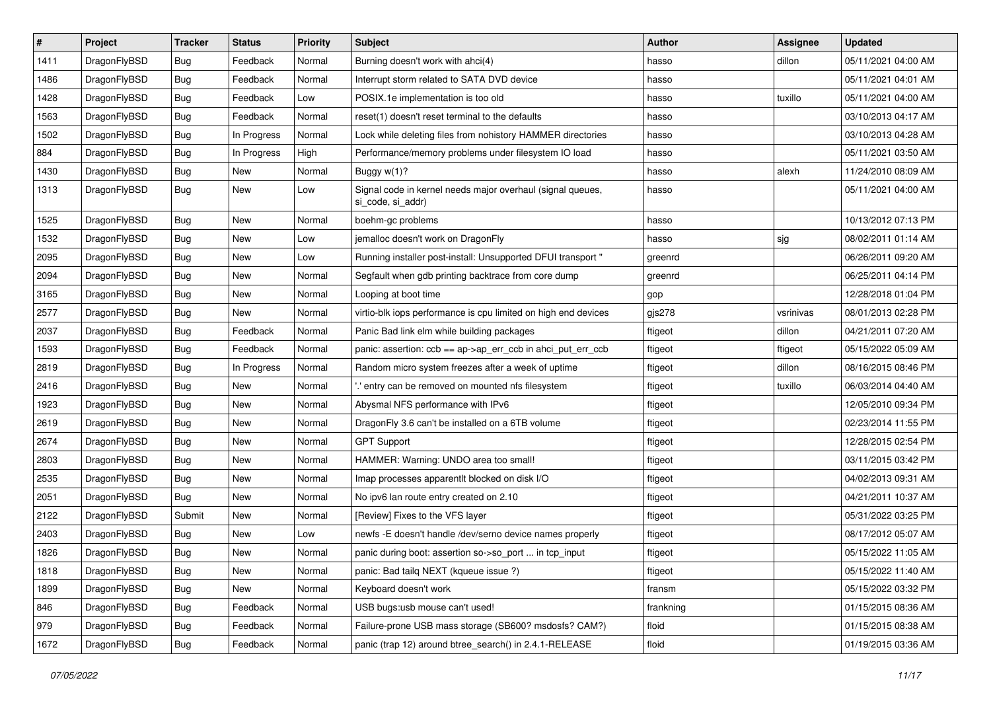| $\vert$ # | Project      | <b>Tracker</b> | <b>Status</b> | <b>Priority</b> | Subject                                                                         | Author    | <b>Assignee</b> | <b>Updated</b>      |
|-----------|--------------|----------------|---------------|-----------------|---------------------------------------------------------------------------------|-----------|-----------------|---------------------|
| 1411      | DragonFlyBSD | <b>Bug</b>     | Feedback      | Normal          | Burning doesn't work with ahci(4)                                               | hasso     | dillon          | 05/11/2021 04:00 AM |
| 1486      | DragonFlyBSD | <b>Bug</b>     | Feedback      | Normal          | Interrupt storm related to SATA DVD device                                      | hasso     |                 | 05/11/2021 04:01 AM |
| 1428      | DragonFlyBSD | <b>Bug</b>     | Feedback      | Low             | POSIX.1e implementation is too old                                              | hasso     | tuxillo         | 05/11/2021 04:00 AM |
| 1563      | DragonFlyBSD | Bug            | Feedback      | Normal          | reset(1) doesn't reset terminal to the defaults                                 | hasso     |                 | 03/10/2013 04:17 AM |
| 1502      | DragonFlyBSD | Bug            | In Progress   | Normal          | Lock while deleting files from nohistory HAMMER directories                     | hasso     |                 | 03/10/2013 04:28 AM |
| 884       | DragonFlyBSD | <b>Bug</b>     | In Progress   | High            | Performance/memory problems under filesystem IO load                            | hasso     |                 | 05/11/2021 03:50 AM |
| 1430      | DragonFlyBSD | Bug            | <b>New</b>    | Normal          | Buggy w(1)?                                                                     | hasso     | alexh           | 11/24/2010 08:09 AM |
| 1313      | DragonFlyBSD | <b>Bug</b>     | New           | Low             | Signal code in kernel needs major overhaul (signal queues,<br>si code, si addr) | hasso     |                 | 05/11/2021 04:00 AM |
| 1525      | DragonFlyBSD | Bug            | <b>New</b>    | Normal          | boehm-gc problems                                                               | hasso     |                 | 10/13/2012 07:13 PM |
| 1532      | DragonFlyBSD | Bug            | <b>New</b>    | Low             | jemalloc doesn't work on DragonFly                                              | hasso     | sjg             | 08/02/2011 01:14 AM |
| 2095      | DragonFlyBSD | Bug            | New           | Low             | Running installer post-install: Unsupported DFUI transport "                    | greenrd   |                 | 06/26/2011 09:20 AM |
| 2094      | DragonFlyBSD | <b>Bug</b>     | <b>New</b>    | Normal          | Segfault when gdb printing backtrace from core dump                             | greenrd   |                 | 06/25/2011 04:14 PM |
| 3165      | DragonFlyBSD | <b>Bug</b>     | New           | Normal          | Looping at boot time                                                            | gop       |                 | 12/28/2018 01:04 PM |
| 2577      | DragonFlyBSD | <b>Bug</b>     | <b>New</b>    | Normal          | virtio-blk iops performance is cpu limited on high end devices                  | gjs278    | vsrinivas       | 08/01/2013 02:28 PM |
| 2037      | DragonFlyBSD | <b>Bug</b>     | Feedback      | Normal          | Panic Bad link elm while building packages                                      | ftigeot   | dillon          | 04/21/2011 07:20 AM |
| 1593      | DragonFlyBSD | <b>Bug</b>     | Feedback      | Normal          | panic: assertion: ccb == ap->ap_err_ccb in ahci_put_err_ccb                     | ftigeot   | ftigeot         | 05/15/2022 05:09 AM |
| 2819      | DragonFlyBSD | <b>Bug</b>     | In Progress   | Normal          | Random micro system freezes after a week of uptime                              | ftigeot   | dillon          | 08/16/2015 08:46 PM |
| 2416      | DragonFlyBSD | <b>Bug</b>     | New           | Normal          | ' entry can be removed on mounted nfs filesystem                                | ftigeot   | tuxillo         | 06/03/2014 04:40 AM |
| 1923      | DragonFlyBSD | Bug            | <b>New</b>    | Normal          | Abysmal NFS performance with IPv6                                               | ftigeot   |                 | 12/05/2010 09:34 PM |
| 2619      | DragonFlyBSD | <b>Bug</b>     | New           | Normal          | DragonFly 3.6 can't be installed on a 6TB volume                                | ftigeot   |                 | 02/23/2014 11:55 PM |
| 2674      | DragonFlyBSD | <b>Bug</b>     | <b>New</b>    | Normal          | <b>GPT Support</b>                                                              | ftigeot   |                 | 12/28/2015 02:54 PM |
| 2803      | DragonFlyBSD | Bug            | <b>New</b>    | Normal          | HAMMER: Warning: UNDO area too small!                                           | ftigeot   |                 | 03/11/2015 03:42 PM |
| 2535      | DragonFlyBSD | Bug            | <b>New</b>    | Normal          | Imap processes apparentlt blocked on disk I/O                                   | ftigeot   |                 | 04/02/2013 09:31 AM |
| 2051      | DragonFlyBSD | Bug            | <b>New</b>    | Normal          | No ipv6 lan route entry created on 2.10                                         | ftigeot   |                 | 04/21/2011 10:37 AM |
| 2122      | DragonFlyBSD | Submit         | New           | Normal          | [Review] Fixes to the VFS layer                                                 | ftigeot   |                 | 05/31/2022 03:25 PM |
| 2403      | DragonFlyBSD | Bug            | New           | Low             | newfs -E doesn't handle /dev/serno device names properly                        | ftigeot   |                 | 08/17/2012 05:07 AM |
| 1826      | DragonFlyBSD | Bug            | New           | Normal          | panic during boot: assertion so->so_port  in tcp_input                          | ftigeot   |                 | 05/15/2022 11:05 AM |
| 1818      | DragonFlyBSD | Bug            | New           | Normal          | panic: Bad tailq NEXT (kqueue issue ?)                                          | ftigeot   |                 | 05/15/2022 11:40 AM |
| 1899      | DragonFlyBSD | <b>Bug</b>     | New           | Normal          | Keyboard doesn't work                                                           | fransm    |                 | 05/15/2022 03:32 PM |
| 846       | DragonFlyBSD | <b>Bug</b>     | Feedback      | Normal          | USB bugs:usb mouse can't used!                                                  | frankning |                 | 01/15/2015 08:36 AM |
| 979       | DragonFlyBSD | <b>Bug</b>     | Feedback      | Normal          | Failure-prone USB mass storage (SB600? msdosfs? CAM?)                           | floid     |                 | 01/15/2015 08:38 AM |
| 1672      | DragonFlyBSD | Bug            | Feedback      | Normal          | panic (trap 12) around btree_search() in 2.4.1-RELEASE                          | floid     |                 | 01/19/2015 03:36 AM |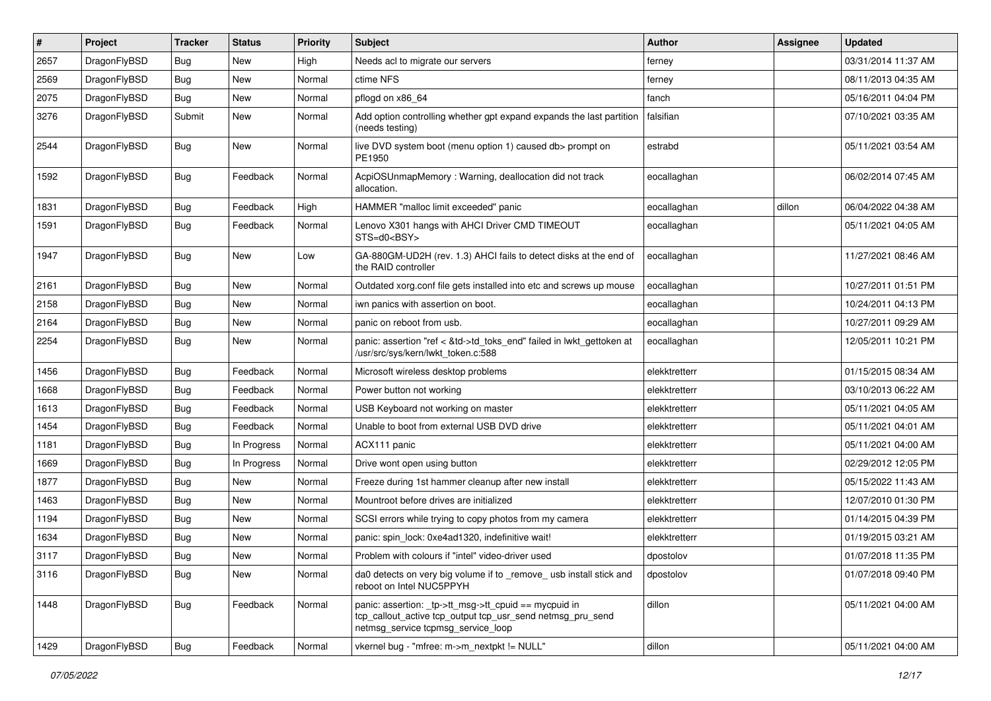| $\vert$ # | Project      | <b>Tracker</b> | <b>Status</b> | <b>Priority</b> | Subject                                                                                                                                                  | <b>Author</b> | Assignee | <b>Updated</b>      |
|-----------|--------------|----------------|---------------|-----------------|----------------------------------------------------------------------------------------------------------------------------------------------------------|---------------|----------|---------------------|
| 2657      | DragonFlyBSD | Bug            | <b>New</b>    | High            | Needs acl to migrate our servers                                                                                                                         | ferney        |          | 03/31/2014 11:37 AM |
| 2569      | DragonFlyBSD | <b>Bug</b>     | <b>New</b>    | Normal          | ctime NFS                                                                                                                                                | ferney        |          | 08/11/2013 04:35 AM |
| 2075      | DragonFlyBSD | <b>Bug</b>     | <b>New</b>    | Normal          | pflogd on x86 64                                                                                                                                         | fanch         |          | 05/16/2011 04:04 PM |
| 3276      | DragonFlyBSD | Submit         | New           | Normal          | Add option controlling whether gpt expand expands the last partition<br>(needs testing)                                                                  | falsifian     |          | 07/10/2021 03:35 AM |
| 2544      | DragonFlyBSD | <b>Bug</b>     | New           | Normal          | live DVD system boot (menu option 1) caused db> prompt on<br>PE1950                                                                                      | estrabd       |          | 05/11/2021 03:54 AM |
| 1592      | DragonFlyBSD | Bug            | Feedback      | Normal          | AcpiOSUnmapMemory: Warning, deallocation did not track<br>allocation.                                                                                    | eocallaghan   |          | 06/02/2014 07:45 AM |
| 1831      | DragonFlyBSD | Bug            | Feedback      | High            | HAMMER "malloc limit exceeded" panic                                                                                                                     | eocallaghan   | dillon   | 06/04/2022 04:38 AM |
| 1591      | DragonFlyBSD | Bug            | Feedback      | Normal          | Lenovo X301 hangs with AHCI Driver CMD TIMEOUT<br>STS=d0 <bsy></bsy>                                                                                     | eocallaghan   |          | 05/11/2021 04:05 AM |
| 1947      | DragonFlyBSD | Bug            | New           | Low             | GA-880GM-UD2H (rev. 1.3) AHCI fails to detect disks at the end of<br>the RAID controller                                                                 | eocallaghan   |          | 11/27/2021 08:46 AM |
| 2161      | DragonFlyBSD | Bug            | <b>New</b>    | Normal          | Outdated xorg.conf file gets installed into etc and screws up mouse                                                                                      | eocallaghan   |          | 10/27/2011 01:51 PM |
| 2158      | DragonFlyBSD | Bug            | <b>New</b>    | Normal          | iwn panics with assertion on boot.                                                                                                                       | eocallaghan   |          | 10/24/2011 04:13 PM |
| 2164      | DragonFlyBSD | Bug            | New           | Normal          | panic on reboot from usb.                                                                                                                                | eocallaghan   |          | 10/27/2011 09:29 AM |
| 2254      | DragonFlyBSD | Bug            | New           | Normal          | panic: assertion "ref < &td->td_toks_end" failed in lwkt_gettoken at<br>/usr/src/sys/kern/lwkt_token.c:588                                               | eocallaghan   |          | 12/05/2011 10:21 PM |
| 1456      | DragonFlyBSD | Bug            | Feedback      | Normal          | Microsoft wireless desktop problems                                                                                                                      | elekktretterr |          | 01/15/2015 08:34 AM |
| 1668      | DragonFlyBSD | Bug            | Feedback      | Normal          | Power button not working                                                                                                                                 | elekktretterr |          | 03/10/2013 06:22 AM |
| 1613      | DragonFlyBSD | Bug            | Feedback      | Normal          | USB Keyboard not working on master                                                                                                                       | elekktretterr |          | 05/11/2021 04:05 AM |
| 1454      | DragonFlyBSD | Bug            | Feedback      | Normal          | Unable to boot from external USB DVD drive                                                                                                               | elekktretterr |          | 05/11/2021 04:01 AM |
| 1181      | DragonFlyBSD | <b>Bug</b>     | In Progress   | Normal          | ACX111 panic                                                                                                                                             | elekktretterr |          | 05/11/2021 04:00 AM |
| 1669      | DragonFlyBSD | Bug            | In Progress   | Normal          | Drive wont open using button                                                                                                                             | elekktretterr |          | 02/29/2012 12:05 PM |
| 1877      | DragonFlyBSD | Bug            | <b>New</b>    | Normal          | Freeze during 1st hammer cleanup after new install                                                                                                       | elekktretterr |          | 05/15/2022 11:43 AM |
| 1463      | DragonFlyBSD | <b>Bug</b>     | <b>New</b>    | Normal          | Mountroot before drives are initialized                                                                                                                  | elekktretterr |          | 12/07/2010 01:30 PM |
| 1194      | DragonFlyBSD | <b>Bug</b>     | <b>New</b>    | Normal          | SCSI errors while trying to copy photos from my camera                                                                                                   | elekktretterr |          | 01/14/2015 04:39 PM |
| 1634      | DragonFlyBSD | Bug            | <b>New</b>    | Normal          | panic: spin_lock: 0xe4ad1320, indefinitive wait!                                                                                                         | elekktretterr |          | 01/19/2015 03:21 AM |
| 3117      | DragonFlyBSD | Bug            | New           | Normal          | Problem with colours if "intel" video-driver used                                                                                                        | dpostolov     |          | 01/07/2018 11:35 PM |
| 3116      | DragonFlyBSD | <b>Bug</b>     | New           | Normal          | da0 detects on very big volume if to _remove_ usb install stick and<br>reboot on Intel NUC5PPYH                                                          | dpostolov     |          | 01/07/2018 09:40 PM |
| 1448      | DragonFlyBSD | <b>Bug</b>     | Feedback      | Normal          | panic: assertion: tp->tt_msg->tt_cpuid == mycpuid in<br>tcp_callout_active tcp_output tcp_usr_send netmsg_pru_send<br>netmsg_service tcpmsg_service_loop | dillon        |          | 05/11/2021 04:00 AM |
| 1429      | DragonFlyBSD | <b>Bug</b>     | Feedback      | Normal          | vkernel bug - "mfree: m->m_nextpkt != NULL"                                                                                                              | dillon        |          | 05/11/2021 04:00 AM |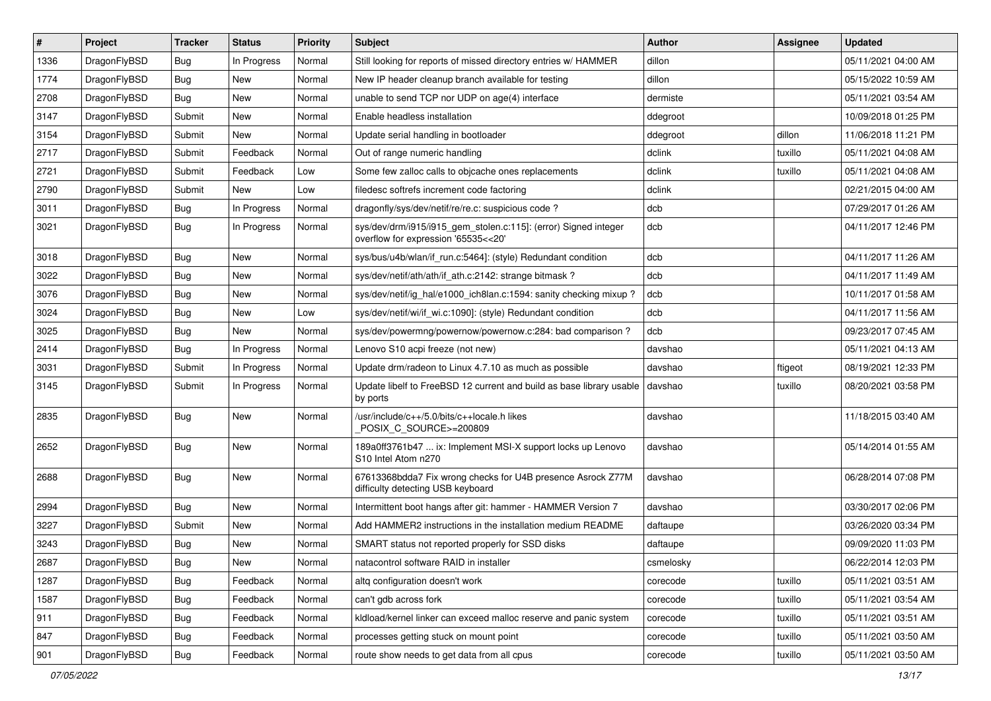| $\sharp$ | Project      | <b>Tracker</b> | <b>Status</b> | <b>Priority</b> | Subject                                                                                                | <b>Author</b> | <b>Assignee</b> | <b>Updated</b>      |
|----------|--------------|----------------|---------------|-----------------|--------------------------------------------------------------------------------------------------------|---------------|-----------------|---------------------|
| 1336     | DragonFlyBSD | Bug            | In Progress   | Normal          | Still looking for reports of missed directory entries w/ HAMMER                                        | dillon        |                 | 05/11/2021 04:00 AM |
| 1774     | DragonFlyBSD | Bug            | <b>New</b>    | Normal          | New IP header cleanup branch available for testing                                                     | dillon        |                 | 05/15/2022 10:59 AM |
| 2708     | DragonFlyBSD | Bug            | New           | Normal          | unable to send TCP nor UDP on age(4) interface                                                         | dermiste      |                 | 05/11/2021 03:54 AM |
| 3147     | DragonFlyBSD | Submit         | New           | Normal          | Enable headless installation                                                                           | ddegroot      |                 | 10/09/2018 01:25 PM |
| 3154     | DragonFlyBSD | Submit         | New           | Normal          | Update serial handling in bootloader                                                                   | ddegroot      | dillon          | 11/06/2018 11:21 PM |
| 2717     | DragonFlyBSD | Submit         | Feedback      | Normal          | Out of range numeric handling                                                                          | dclink        | tuxillo         | 05/11/2021 04:08 AM |
| 2721     | DragonFlyBSD | Submit         | Feedback      | Low             | Some few zalloc calls to objcache ones replacements                                                    | dclink        | tuxillo         | 05/11/2021 04:08 AM |
| 2790     | DragonFlyBSD | Submit         | New           | Low             | filedesc softrefs increment code factoring                                                             | dclink        |                 | 02/21/2015 04:00 AM |
| 3011     | DragonFlyBSD | Bug            | In Progress   | Normal          | dragonfly/sys/dev/netif/re/re.c: suspicious code?                                                      | dcb           |                 | 07/29/2017 01:26 AM |
| 3021     | DragonFlyBSD | Bug            | In Progress   | Normal          | sys/dev/drm/i915/i915_gem_stolen.c:115]: (error) Signed integer<br>overflow for expression '65535<<20' | dcb           |                 | 04/11/2017 12:46 PM |
| 3018     | DragonFlyBSD | Bug            | <b>New</b>    | Normal          | sys/bus/u4b/wlan/if_run.c:5464]: (style) Redundant condition                                           | dcb           |                 | 04/11/2017 11:26 AM |
| 3022     | DragonFlyBSD | Bug            | <b>New</b>    | Normal          | sys/dev/netif/ath/ath/if_ath.c:2142: strange bitmask?                                                  | dcb           |                 | 04/11/2017 11:49 AM |
| 3076     | DragonFlyBSD | Bug            | New           | Normal          | sys/dev/netif/ig hal/e1000 ich8lan.c:1594: sanity checking mixup?                                      | dcb           |                 | 10/11/2017 01:58 AM |
| 3024     | DragonFlyBSD | Bug            | New           | Low             | sys/dev/netif/wi/if_wi.c:1090]: (style) Redundant condition                                            | dcb           |                 | 04/11/2017 11:56 AM |
| 3025     | DragonFlyBSD | Bug            | New           | Normal          | sys/dev/powermng/powernow/powernow.c:284: bad comparison?                                              | dcb           |                 | 09/23/2017 07:45 AM |
| 2414     | DragonFlyBSD | Bug            | In Progress   | Normal          | Lenovo S10 acpi freeze (not new)                                                                       | davshao       |                 | 05/11/2021 04:13 AM |
| 3031     | DragonFlyBSD | Submit         | In Progress   | Normal          | Update drm/radeon to Linux 4.7.10 as much as possible                                                  | davshao       | ftigeot         | 08/19/2021 12:33 PM |
| 3145     | DragonFlyBSD | Submit         | In Progress   | Normal          | Update libelf to FreeBSD 12 current and build as base library usable<br>by ports                       | davshao       | tuxillo         | 08/20/2021 03:58 PM |
| 2835     | DragonFlyBSD | Bug            | New           | Normal          | /usr/include/c++/5.0/bits/c++locale.h likes<br>POSIX C SOURCE>=200809                                  | davshao       |                 | 11/18/2015 03:40 AM |
| 2652     | DragonFlyBSD | Bug            | New           | Normal          | 189a0ff3761b47  ix: Implement MSI-X support locks up Lenovo<br>S10 Intel Atom n270                     | davshao       |                 | 05/14/2014 01:55 AM |
| 2688     | DragonFlyBSD | Bug            | <b>New</b>    | Normal          | 67613368bdda7 Fix wrong checks for U4B presence Asrock Z77M<br>difficulty detecting USB keyboard       | davshao       |                 | 06/28/2014 07:08 PM |
| 2994     | DragonFlyBSD | Bug            | <b>New</b>    | Normal          | Intermittent boot hangs after git: hammer - HAMMER Version 7                                           | davshao       |                 | 03/30/2017 02:06 PM |
| 3227     | DragonFlyBSD | Submit         | <b>New</b>    | Normal          | Add HAMMER2 instructions in the installation medium README                                             | daftaupe      |                 | 03/26/2020 03:34 PM |
| 3243     | DragonFlyBSD | Bug            | New           | Normal          | SMART status not reported properly for SSD disks                                                       | daftaupe      |                 | 09/09/2020 11:03 PM |
| 2687     | DragonFlyBSD | Bug            | New           | Normal          | natacontrol software RAID in installer                                                                 | csmelosky     |                 | 06/22/2014 12:03 PM |
| 1287     | DragonFlyBSD | Bug            | Feedback      | Normal          | altg configuration doesn't work                                                                        | corecode      | tuxillo         | 05/11/2021 03:51 AM |
| 1587     | DragonFlyBSD | <b>Bug</b>     | Feedback      | Normal          | can't gdb across fork                                                                                  | corecode      | tuxillo         | 05/11/2021 03:54 AM |
| 911      | DragonFlyBSD | <b>Bug</b>     | Feedback      | Normal          | kldload/kernel linker can exceed malloc reserve and panic system                                       | corecode      | tuxillo         | 05/11/2021 03:51 AM |
| 847      | DragonFlyBSD | <b>Bug</b>     | Feedback      | Normal          | processes getting stuck on mount point                                                                 | corecode      | tuxillo         | 05/11/2021 03:50 AM |
| 901      | DragonFlyBSD | Bug            | Feedback      | Normal          | route show needs to get data from all cpus                                                             | corecode      | tuxillo         | 05/11/2021 03:50 AM |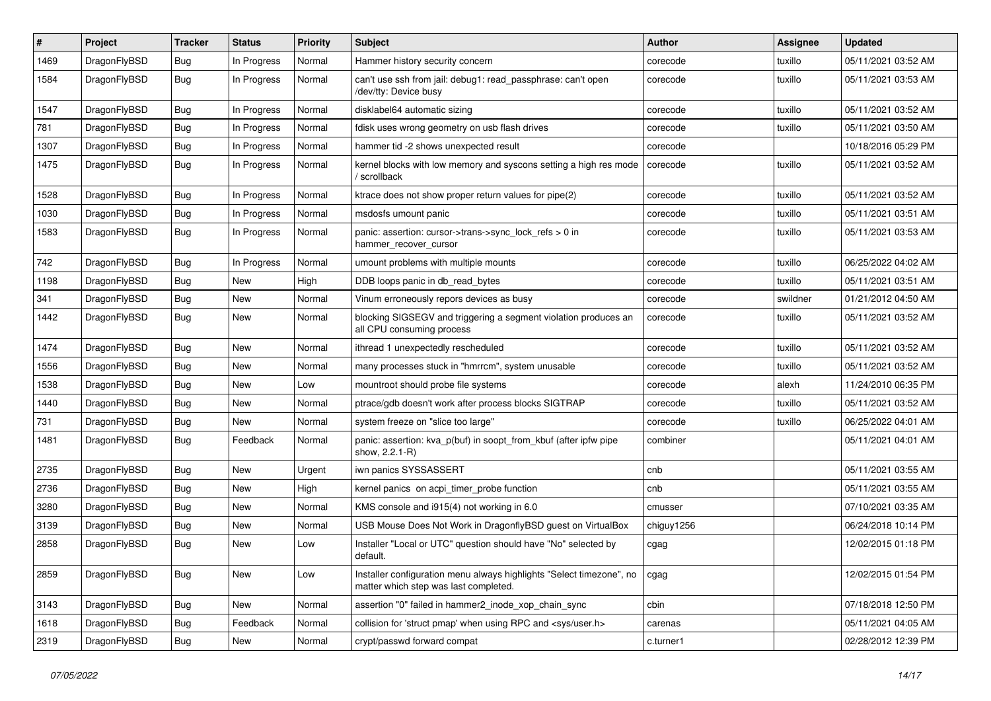| $\sharp$ | Project      | <b>Tracker</b> | <b>Status</b> | <b>Priority</b> | <b>Subject</b>                                                                                                | <b>Author</b> | <b>Assignee</b> | <b>Updated</b>      |
|----------|--------------|----------------|---------------|-----------------|---------------------------------------------------------------------------------------------------------------|---------------|-----------------|---------------------|
| 1469     | DragonFlyBSD | Bug            | In Progress   | Normal          | Hammer history security concern                                                                               | corecode      | tuxillo         | 05/11/2021 03:52 AM |
| 1584     | DragonFlyBSD | Bug            | In Progress   | Normal          | can't use ssh from jail: debug1: read passphrase: can't open<br>/dev/tty: Device busy                         | corecode      | tuxillo         | 05/11/2021 03:53 AM |
| 1547     | DragonFlyBSD | Bug            | In Progress   | Normal          | disklabel64 automatic sizing                                                                                  | corecode      | tuxillo         | 05/11/2021 03:52 AM |
| 781      | DragonFlyBSD | <b>Bug</b>     | In Progress   | Normal          | fdisk uses wrong geometry on usb flash drives                                                                 | corecode      | tuxillo         | 05/11/2021 03:50 AM |
| 1307     | DragonFlyBSD | <b>Bug</b>     | In Progress   | Normal          | hammer tid -2 shows unexpected result                                                                         | corecode      |                 | 10/18/2016 05:29 PM |
| 1475     | DragonFlyBSD | <b>Bug</b>     | In Progress   | Normal          | kernel blocks with low memory and syscons setting a high res mode<br>/ scrollback                             | corecode      | tuxillo         | 05/11/2021 03:52 AM |
| 1528     | DragonFlyBSD | <b>Bug</b>     | In Progress   | Normal          | ktrace does not show proper return values for pipe(2)                                                         | corecode      | tuxillo         | 05/11/2021 03:52 AM |
| 1030     | DragonFlyBSD | <b>Bug</b>     | In Progress   | Normal          | msdosfs umount panic                                                                                          | corecode      | tuxillo         | 05/11/2021 03:51 AM |
| 1583     | DragonFlyBSD | Bug            | In Progress   | Normal          | panic: assertion: cursor->trans->sync_lock_refs > 0 in<br>hammer_recover_cursor                               | corecode      | tuxillo         | 05/11/2021 03:53 AM |
| 742      | DragonFlyBSD | Bug            | In Progress   | Normal          | umount problems with multiple mounts                                                                          | corecode      | tuxillo         | 06/25/2022 04:02 AM |
| 1198     | DragonFlyBSD | <b>Bug</b>     | New           | High            | DDB loops panic in db read bytes                                                                              | corecode      | tuxillo         | 05/11/2021 03:51 AM |
| 341      | DragonFlyBSD | Bug            | <b>New</b>    | Normal          | Vinum erroneously repors devices as busy                                                                      | corecode      | swildner        | 01/21/2012 04:50 AM |
| 1442     | DragonFlyBSD | Bug            | New           | Normal          | blocking SIGSEGV and triggering a segment violation produces an<br>all CPU consuming process                  | corecode      | tuxillo         | 05/11/2021 03:52 AM |
| 1474     | DragonFlyBSD | <b>Bug</b>     | <b>New</b>    | Normal          | ithread 1 unexpectedly rescheduled                                                                            | corecode      | tuxillo         | 05/11/2021 03:52 AM |
| 1556     | DragonFlyBSD | <b>Bug</b>     | <b>New</b>    | Normal          | many processes stuck in "hmrrcm", system unusable                                                             | corecode      | tuxillo         | 05/11/2021 03:52 AM |
| 1538     | DragonFlyBSD | Bug            | <b>New</b>    | Low             | mountroot should probe file systems                                                                           | corecode      | alexh           | 11/24/2010 06:35 PM |
| 1440     | DragonFlyBSD | <b>Bug</b>     | <b>New</b>    | Normal          | ptrace/gdb doesn't work after process blocks SIGTRAP                                                          | corecode      | tuxillo         | 05/11/2021 03:52 AM |
| 731      | DragonFlyBSD | <b>Bug</b>     | New           | Normal          | system freeze on "slice too large"                                                                            | corecode      | tuxillo         | 06/25/2022 04:01 AM |
| 1481     | DragonFlyBSD | <b>Bug</b>     | Feedback      | Normal          | panic: assertion: kva_p(buf) in soopt_from_kbuf (after ipfw pipe<br>show, 2.2.1-R)                            | combiner      |                 | 05/11/2021 04:01 AM |
| 2735     | DragonFlyBSD | Bug            | <b>New</b>    | Urgent          | iwn panics SYSSASSERT                                                                                         | cnb           |                 | 05/11/2021 03:55 AM |
| 2736     | DragonFlyBSD | <b>Bug</b>     | <b>New</b>    | High            | kernel panics on acpi timer probe function                                                                    | cnb           |                 | 05/11/2021 03:55 AM |
| 3280     | DragonFlyBSD | Bug            | <b>New</b>    | Normal          | KMS console and i915(4) not working in 6.0                                                                    | cmusser       |                 | 07/10/2021 03:35 AM |
| 3139     | DragonFlyBSD | Bug            | <b>New</b>    | Normal          | USB Mouse Does Not Work in DragonflyBSD guest on VirtualBox                                                   | chiguy1256    |                 | 06/24/2018 10:14 PM |
| 2858     | DragonFlyBSD | <b>Bug</b>     | <b>New</b>    | Low             | Installer "Local or UTC" question should have "No" selected by<br>default.                                    | cgag          |                 | 12/02/2015 01:18 PM |
| 2859     | DragonFlyBSD | Bug            | New           | Low             | Installer configuration menu always highlights "Select timezone", no<br>matter which step was last completed. | cgag          |                 | 12/02/2015 01:54 PM |
| 3143     | DragonFlyBSD | <b>Bug</b>     | New           | Normal          | assertion "0" failed in hammer2_inode_xop_chain_sync                                                          | cbin          |                 | 07/18/2018 12:50 PM |
| 1618     | DragonFlyBSD | Bug            | Feedback      | Normal          | collision for 'struct pmap' when using RPC and <sys user.h=""></sys>                                          | carenas       |                 | 05/11/2021 04:05 AM |
| 2319     | DragonFlyBSD | <b>Bug</b>     | New           | Normal          | crypt/passwd forward compat                                                                                   | c.turner1     |                 | 02/28/2012 12:39 PM |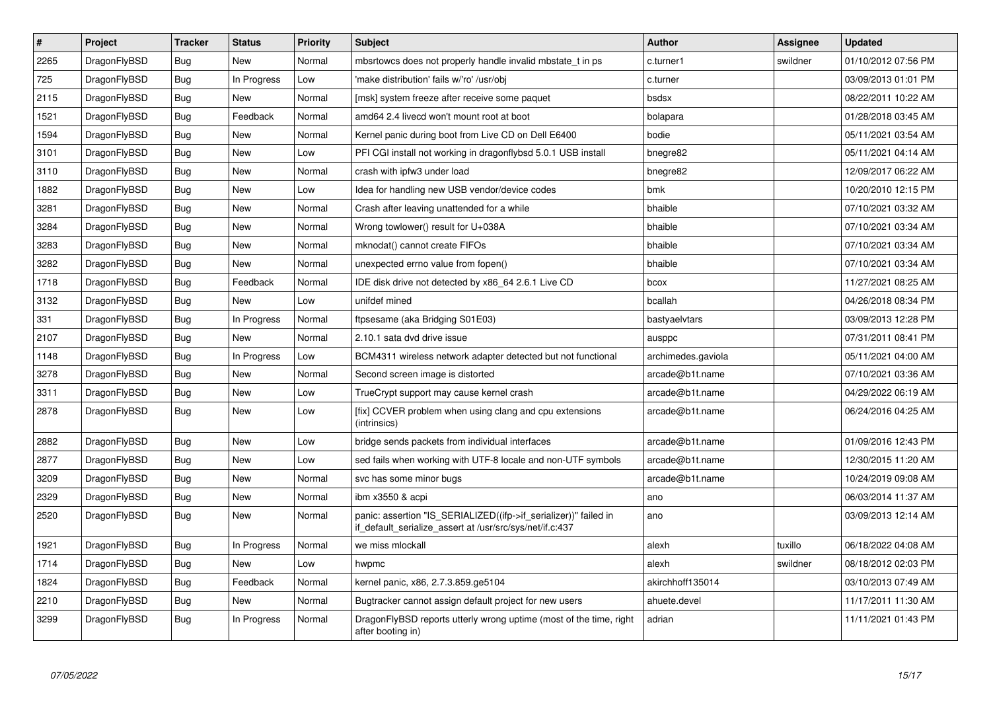| $\vert$ # | Project      | <b>Tracker</b> | <b>Status</b> | <b>Priority</b> | <b>Subject</b>                                                                                                               | Author             | Assignee | <b>Updated</b>      |
|-----------|--------------|----------------|---------------|-----------------|------------------------------------------------------------------------------------------------------------------------------|--------------------|----------|---------------------|
| 2265      | DragonFlyBSD | Bug            | <b>New</b>    | Normal          | mbsrtowcs does not properly handle invalid mbstate t in ps                                                                   | c.turner1          | swildner | 01/10/2012 07:56 PM |
| 725       | DragonFlyBSD | <b>Bug</b>     | In Progress   | Low             | 'make distribution' fails w/'ro' /usr/obj                                                                                    | c.turner           |          | 03/09/2013 01:01 PM |
| 2115      | DragonFlyBSD | <b>Bug</b>     | <b>New</b>    | Normal          | [msk] system freeze after receive some paquet                                                                                | bsdsx              |          | 08/22/2011 10:22 AM |
| 1521      | DragonFlyBSD | Bug            | Feedback      | Normal          | amd64 2.4 livecd won't mount root at boot                                                                                    | bolapara           |          | 01/28/2018 03:45 AM |
| 1594      | DragonFlyBSD | <b>Bug</b>     | <b>New</b>    | Normal          | Kernel panic during boot from Live CD on Dell E6400                                                                          | bodie              |          | 05/11/2021 03:54 AM |
| 3101      | DragonFlyBSD | <b>Bug</b>     | <b>New</b>    | Low             | PFI CGI install not working in dragonflybsd 5.0.1 USB install                                                                | bnegre82           |          | 05/11/2021 04:14 AM |
| 3110      | DragonFlyBSD | Bug            | <b>New</b>    | Normal          | crash with ipfw3 under load                                                                                                  | bnegre82           |          | 12/09/2017 06:22 AM |
| 1882      | DragonFlyBSD | <b>Bug</b>     | <b>New</b>    | Low             | Idea for handling new USB vendor/device codes                                                                                | bmk                |          | 10/20/2010 12:15 PM |
| 3281      | DragonFlyBSD | Bug            | New           | Normal          | Crash after leaving unattended for a while                                                                                   | bhaible            |          | 07/10/2021 03:32 AM |
| 3284      | DragonFlyBSD | <b>Bug</b>     | <b>New</b>    | Normal          | Wrong towlower() result for U+038A                                                                                           | bhaible            |          | 07/10/2021 03:34 AM |
| 3283      | DragonFlyBSD | Bug            | New           | Normal          | mknodat() cannot create FIFOs                                                                                                | bhaible            |          | 07/10/2021 03:34 AM |
| 3282      | DragonFlyBSD | Bug            | New           | Normal          | unexpected errno value from fopen()                                                                                          | bhaible            |          | 07/10/2021 03:34 AM |
| 1718      | DragonFlyBSD | Bug            | Feedback      | Normal          | IDE disk drive not detected by x86 64 2.6.1 Live CD                                                                          | bcox               |          | 11/27/2021 08:25 AM |
| 3132      | DragonFlyBSD | Bug            | New           | Low             | unifdef mined                                                                                                                | bcallah            |          | 04/26/2018 08:34 PM |
| 331       | DragonFlyBSD | Bug            | In Progress   | Normal          | ftpsesame (aka Bridging S01E03)                                                                                              | bastyaelvtars      |          | 03/09/2013 12:28 PM |
| 2107      | DragonFlyBSD | Bug            | New           | Normal          | 2.10.1 sata dvd drive issue                                                                                                  | ausppc             |          | 07/31/2011 08:41 PM |
| 1148      | DragonFlyBSD | <b>Bug</b>     | In Progress   | Low             | BCM4311 wireless network adapter detected but not functional                                                                 | archimedes.gaviola |          | 05/11/2021 04:00 AM |
| 3278      | DragonFlyBSD | Bug            | New           | Normal          | Second screen image is distorted                                                                                             | arcade@b1t.name    |          | 07/10/2021 03:36 AM |
| 3311      | DragonFlyBSD | <b>Bug</b>     | New           | Low             | TrueCrypt support may cause kernel crash                                                                                     | arcade@b1t.name    |          | 04/29/2022 06:19 AM |
| 2878      | DragonFlyBSD | Bug            | <b>New</b>    | Low             | [fix] CCVER problem when using clang and cpu extensions<br>(intrinsics)                                                      | arcade@b1t.name    |          | 06/24/2016 04:25 AM |
| 2882      | DragonFlyBSD | <b>Bug</b>     | <b>New</b>    | Low             | bridge sends packets from individual interfaces                                                                              | arcade@b1t.name    |          | 01/09/2016 12:43 PM |
| 2877      | DragonFlyBSD | Bug            | New           | Low             | sed fails when working with UTF-8 locale and non-UTF symbols                                                                 | arcade@b1t.name    |          | 12/30/2015 11:20 AM |
| 3209      | DragonFlyBSD | <b>Bug</b>     | <b>New</b>    | Normal          | svc has some minor bugs                                                                                                      | arcade@b1t.name    |          | 10/24/2019 09:08 AM |
| 2329      | DragonFlyBSD | Bug            | New           | Normal          | ibm x3550 & acpi                                                                                                             | ano                |          | 06/03/2014 11:37 AM |
| 2520      | DragonFlyBSD | <b>Bug</b>     | New           | Normal          | panic: assertion "IS_SERIALIZED((ifp->if_serializer))" failed in<br>if default serialize assert at /usr/src/sys/net/if.c:437 | ano                |          | 03/09/2013 12:14 AM |
| 1921      | DragonFlyBSD | <b>Bug</b>     | In Progress   | Normal          | we miss mlockall                                                                                                             | alexh              | tuxillo  | 06/18/2022 04:08 AM |
| 1714      | DragonFlyBSD | Bug            | <b>New</b>    | Low             | hwpmc                                                                                                                        | alexh              | swildner | 08/18/2012 02:03 PM |
| 1824      | DragonFlyBSD | <b>Bug</b>     | Feedback      | Normal          | kernel panic, x86, 2.7.3.859.ge5104                                                                                          | akirchhoff135014   |          | 03/10/2013 07:49 AM |
| 2210      | DragonFlyBSD | <b>Bug</b>     | <b>New</b>    | Normal          | Bugtracker cannot assign default project for new users                                                                       | ahuete.devel       |          | 11/17/2011 11:30 AM |
| 3299      | DragonFlyBSD | Bug            | In Progress   | Normal          | DragonFlyBSD reports utterly wrong uptime (most of the time, right<br>after booting in)                                      | adrian             |          | 11/11/2021 01:43 PM |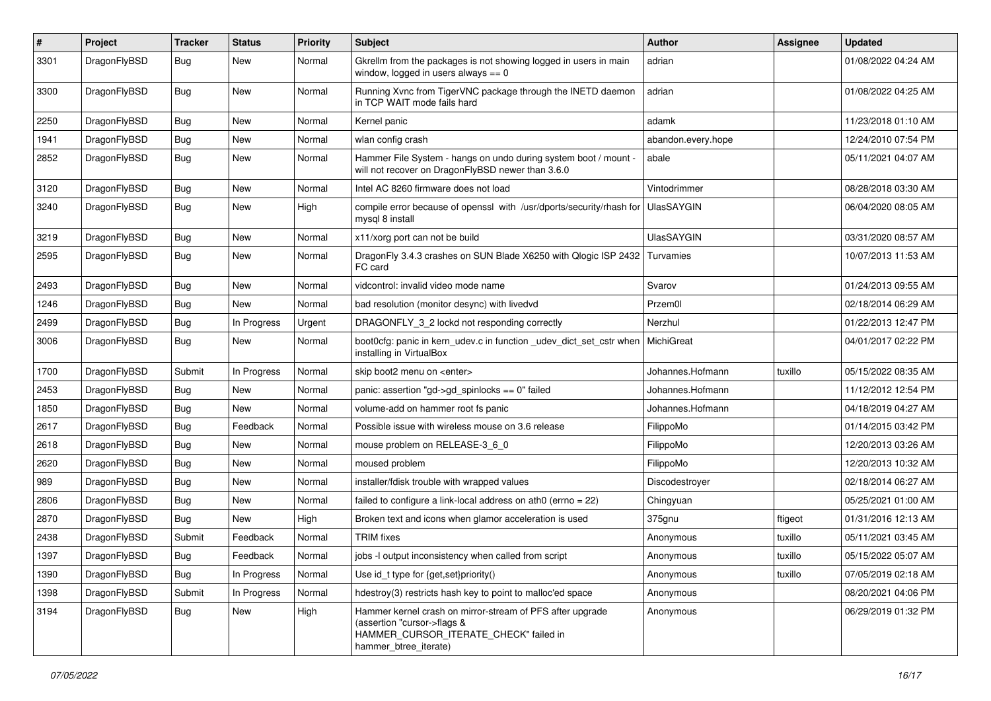| $\#$ | Project      | <b>Tracker</b> | <b>Status</b> | <b>Priority</b> | Subject                                                                                                                                                     | <b>Author</b>      | <b>Assignee</b> | <b>Updated</b>      |
|------|--------------|----------------|---------------|-----------------|-------------------------------------------------------------------------------------------------------------------------------------------------------------|--------------------|-----------------|---------------------|
| 3301 | DragonFlyBSD | Bug            | New           | Normal          | Gkrellm from the packages is not showing logged in users in main<br>window, logged in users always $== 0$                                                   | adrian             |                 | 01/08/2022 04:24 AM |
| 3300 | DragonFlyBSD | Bug            | New           | Normal          | Running Xvnc from TigerVNC package through the INETD daemon<br>in TCP WAIT mode fails hard                                                                  | adrian             |                 | 01/08/2022 04:25 AM |
| 2250 | DragonFlyBSD | Bug            | <b>New</b>    | Normal          | Kernel panic                                                                                                                                                | adamk              |                 | 11/23/2018 01:10 AM |
| 1941 | DragonFlyBSD | <b>Bug</b>     | New           | Normal          | wlan config crash                                                                                                                                           | abandon.every.hope |                 | 12/24/2010 07:54 PM |
| 2852 | DragonFlyBSD | Bug            | New           | Normal          | Hammer File System - hangs on undo during system boot / mount -<br>will not recover on DragonFlyBSD newer than 3.6.0                                        | abale              |                 | 05/11/2021 04:07 AM |
| 3120 | DragonFlyBSD | <b>Bug</b>     | <b>New</b>    | Normal          | Intel AC 8260 firmware does not load                                                                                                                        | Vintodrimmer       |                 | 08/28/2018 03:30 AM |
| 3240 | DragonFlyBSD | <b>Bug</b>     | New           | High            | compile error because of openssl with /usr/dports/security/rhash for<br>mysql 8 install                                                                     | <b>UlasSAYGIN</b>  |                 | 06/04/2020 08:05 AM |
| 3219 | DragonFlyBSD | <b>Bug</b>     | <b>New</b>    | Normal          | x11/xorg port can not be build                                                                                                                              | <b>UlasSAYGIN</b>  |                 | 03/31/2020 08:57 AM |
| 2595 | DragonFlyBSD | <b>Bug</b>     | New           | Normal          | DragonFly 3.4.3 crashes on SUN Blade X6250 with Qlogic ISP 2432<br>FC card                                                                                  | Turvamies          |                 | 10/07/2013 11:53 AM |
| 2493 | DragonFlyBSD | <b>Bug</b>     | New           | Normal          | vidcontrol: invalid video mode name                                                                                                                         | Svarov             |                 | 01/24/2013 09:55 AM |
| 1246 | DragonFlyBSD | <b>Bug</b>     | <b>New</b>    | Normal          | bad resolution (monitor desync) with livedvd                                                                                                                | Przem0l            |                 | 02/18/2014 06:29 AM |
| 2499 | DragonFlyBSD | <b>Bug</b>     | In Progress   | Urgent          | DRAGONFLY_3_2 lockd not responding correctly                                                                                                                | Nerzhul            |                 | 01/22/2013 12:47 PM |
| 3006 | DragonFlyBSD | <b>Bug</b>     | New           | Normal          | boot0cfg: panic in kern_udev.c in function _udev_dict_set_cstr when<br>installing in VirtualBox                                                             | MichiGreat         |                 | 04/01/2017 02:22 PM |
| 1700 | DragonFlyBSD | Submit         | In Progress   | Normal          | skip boot2 menu on <enter></enter>                                                                                                                          | Johannes.Hofmann   | tuxillo         | 05/15/2022 08:35 AM |
| 2453 | DragonFlyBSD | <b>Bug</b>     | <b>New</b>    | Normal          | panic: assertion "gd->gd_spinlocks == 0" failed                                                                                                             | Johannes.Hofmann   |                 | 11/12/2012 12:54 PM |
| 1850 | DragonFlyBSD | <b>Bug</b>     | New           | Normal          | volume-add on hammer root fs panic                                                                                                                          | Johannes.Hofmann   |                 | 04/18/2019 04:27 AM |
| 2617 | DragonFlyBSD | <b>Bug</b>     | Feedback      | Normal          | Possible issue with wireless mouse on 3.6 release                                                                                                           | FilippoMo          |                 | 01/14/2015 03:42 PM |
| 2618 | DragonFlyBSD | <b>Bug</b>     | New           | Normal          | mouse problem on RELEASE-3 6 0                                                                                                                              | FilippoMo          |                 | 12/20/2013 03:26 AM |
| 2620 | DragonFlyBSD | <b>Bug</b>     | New           | Normal          | moused problem                                                                                                                                              | FilippoMo          |                 | 12/20/2013 10:32 AM |
| 989  | DragonFlyBSD | <b>Bug</b>     | <b>New</b>    | Normal          | installer/fdisk trouble with wrapped values                                                                                                                 | Discodestroyer     |                 | 02/18/2014 06:27 AM |
| 2806 | DragonFlyBSD | <b>Bug</b>     | New           | Normal          | failed to configure a link-local address on ath0 (errno = 22)                                                                                               | Chingyuan          |                 | 05/25/2021 01:00 AM |
| 2870 | DragonFlyBSD | <b>Bug</b>     | New           | High            | Broken text and icons when glamor acceleration is used                                                                                                      | 375gnu             | ftigeot         | 01/31/2016 12:13 AM |
| 2438 | DragonFlyBSD | Submit         | Feedback      | Normal          | <b>TRIM</b> fixes                                                                                                                                           | Anonymous          | tuxillo         | 05/11/2021 03:45 AM |
| 1397 | DragonFlyBSD | <b>Bug</b>     | Feedback      | Normal          | jobs - output inconsistency when called from script                                                                                                         | Anonymous          | tuxillo         | 05/15/2022 05:07 AM |
| 1390 | DragonFlyBSD | <b>Bug</b>     | In Progress   | Normal          | Use id_t type for {get,set}priority()                                                                                                                       | Anonymous          | tuxillo         | 07/05/2019 02:18 AM |
| 1398 | DragonFlyBSD | Submit         | In Progress   | Normal          | hdestroy(3) restricts hash key to point to malloc'ed space                                                                                                  | Anonymous          |                 | 08/20/2021 04:06 PM |
| 3194 | DragonFlyBSD | <b>Bug</b>     | New           | High            | Hammer kernel crash on mirror-stream of PFS after upgrade<br>(assertion "cursor->flags &<br>HAMMER CURSOR ITERATE CHECK" failed in<br>hammer_btree_iterate) | Anonymous          |                 | 06/29/2019 01:32 PM |